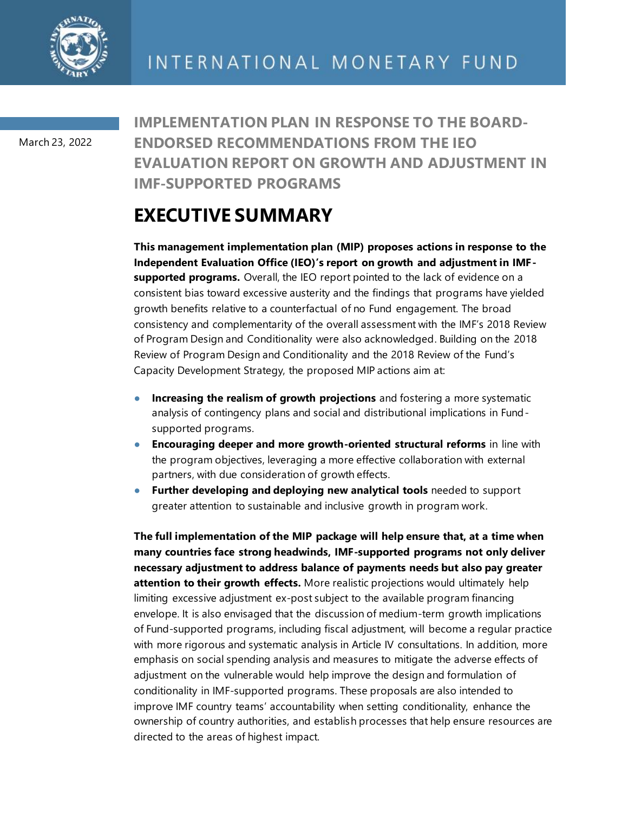

March 23, 2022

**IMPLEMENTATION PLAN IN RESPONSE TO THE BOARD-ENDORSED RECOMMENDATIONS FROM THE IEO EVALUATION REPORT ON GROWTH AND ADJUSTMENT IN IMF-SUPPORTED PROGRAMS**

# **EXECUTIVE SUMMARY**

**This management implementation plan (MIP) proposes actions in response to the Independent Evaluation Office (IEO)'s report on growth and adjustment in IMFsupported programs.** Overall, the IEO report pointed to the lack of evidence on a consistent bias toward excessive austerity and the findings that programs have yielded growth benefits relative to a counterfactual of no Fund engagement. The broad consistency and complementarity of the overall assessment with the IMF's 2018 Review of Program Design and Conditionality were also acknowledged. Building on the 2018 Review of Program Design and Conditionality and the 2018 Review of the Fund's Capacity Development Strategy, the proposed MIP actions aim at:

- **Increasing the realism of growth projections** and fostering a more systematic analysis of contingency plans and social and distributional implications in Fundsupported programs.
- **● Encouraging deeper and more growth-oriented structural reforms** in line with the program objectives, leveraging a more effective collaboration with external partners, with due consideration of growth effects.
- **● Further developing and deploying new analytical tools** needed to support greater attention to sustainable and inclusive growth in program work.

**The full implementation of the MIP package will help ensure that, at a time when many countries face strong headwinds, IMF-supported programs not only deliver necessary adjustment to address balance of payments needs but also pay greater attention to their growth effects.** More realistic projections would ultimately help limiting excessive adjustment ex-post subject to the available program financing envelope. It is also envisaged that the discussion of medium-term growth implications of Fund-supported programs, including fiscal adjustment, will become a regular practice with more rigorous and systematic analysis in Article IV consultations. In addition, more emphasis on social spending analysis and measures to mitigate the adverse effects of adjustment on the vulnerable would help improve the design and formulation of conditionality in IMF-supported programs. These proposals are also intended to improve IMF country teams' accountability when setting conditionality, enhance the ownership of country authorities, and establish processes that help ensure resources are directed to the areas of highest impact.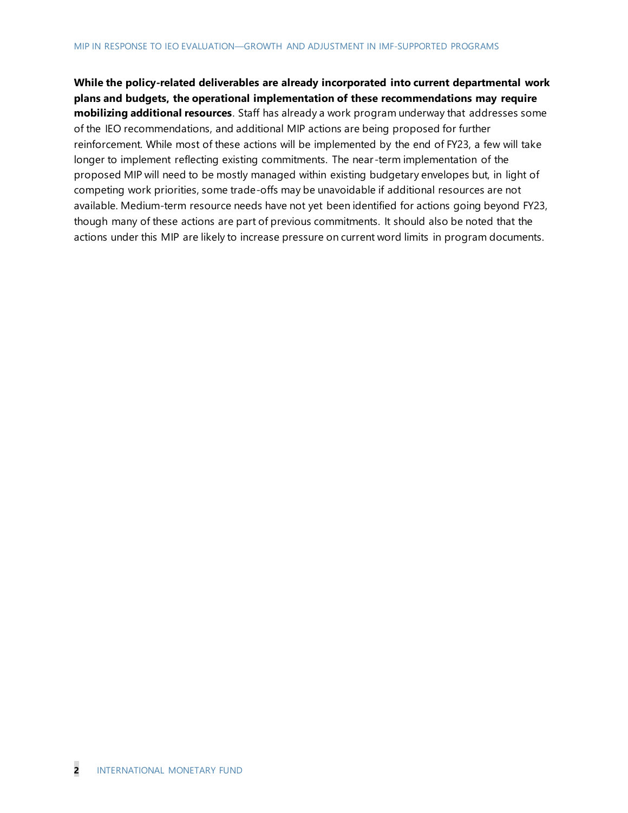**While the policy-related deliverables are already incorporated into current departmental work plans and budgets, the operational implementation of these recommendations may require mobilizing additional resources**. Staff has already a work program underway that addresses some of the IEO recommendations, and additional MIP actions are being proposed for further reinforcement. While most of these actions will be implemented by the end of FY23, a few will take longer to implement reflecting existing commitments. The near -term implementation of the proposed MIP will need to be mostly managed within existing budgetary envelopes but, in light of competing work priorities, some trade-offs may be unavoidable if additional resources are not available. Medium-term resource needs have not yet been identified for actions going beyond FY23, though many of these actions are part of previous commitments. It should also be noted that the actions under this MIP are likely to increase pressure on current word limits in program documents.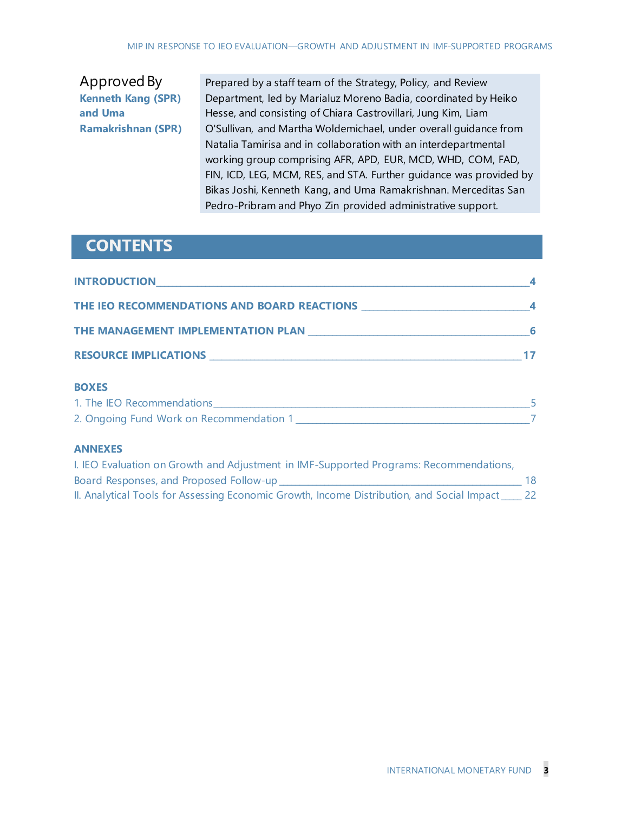## Approved By **Kenneth Kang (SPR) and Uma Ramakrishnan (SPR)**

Prepared by a staff team of the Strategy, Policy, and Review Department, led by Marialuz Moreno Badia, coordinated by Heiko Hesse, and consisting of Chiara Castrovillari, Jung Kim, Liam O'Sullivan, and Martha Woldemichael, under overall guidance from Natalia Tamirisa and in collaboration with an interdepartmental working group comprising AFR, APD, EUR, MCD, WHD, COM, FAD, FIN, ICD, LEG, MCM, RES, and STA. Further guidance was provided by Bikas Joshi, Kenneth Kang, and Uma Ramakrishnan. Merceditas San Pedro-Pribram and Phyo Zin provided administrative support.

## **CONTENTS**

| <u>INTRODUCTION 4</u>                                        |  |
|--------------------------------------------------------------|--|
|                                                              |  |
| THE MANAGEMENT IMPLEMENTATION PLAN MELTICOLOGIC MANAGEMENT 6 |  |
|                                                              |  |
| <b>BOXES</b>                                                 |  |

### **BOXES**

| 1. The IEO Recommendations               |  |
|------------------------------------------|--|
| 2. Ongoing Fund Work on Recommendation 1 |  |

### **ANNEXES**

| I. IEO Evaluation on Growth and Adjustment in IMF-Supported Programs: Recommendations,      |    |
|---------------------------------------------------------------------------------------------|----|
| Board Responses, and Proposed Follow-up                                                     | 18 |
| II. Analytical Tools for Assessing Economic Growth, Income Distribution, and Social Impact_ |    |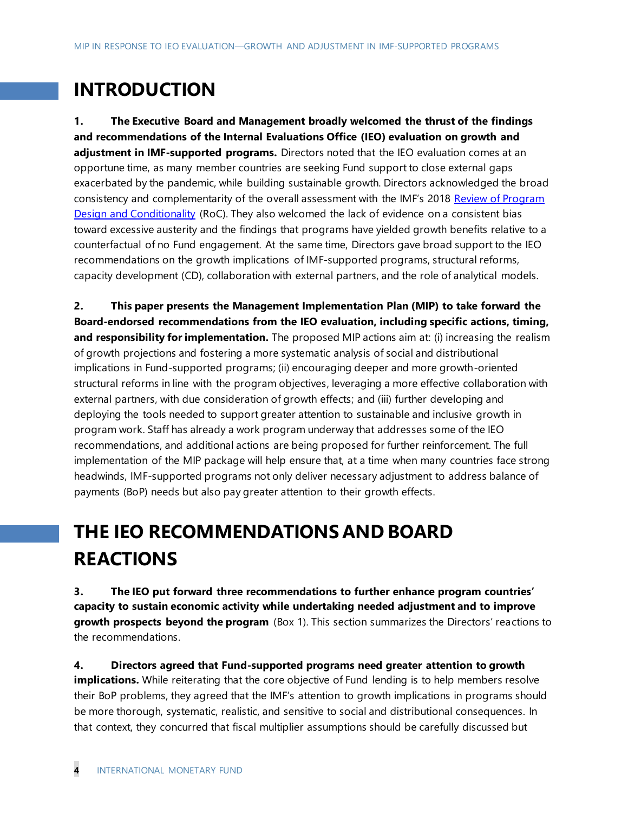# **INTRODUCTION**

**1. The Executive Board and Management broadly welcomed the thrust of the findings and recommendations of the Internal Evaluations Office (IEO) evaluation on growth and adjustment in IMF-supported programs.** Directors noted that the IEO evaluation comes at an opportune time, as many member countries are seeking Fund support to close external gaps exacerbated by the pandemic, while building sustainable growth. Directors acknowledged the broad consistency and complementarity of the overall assessment with the IMF's 2018 [Review of Program](https://www.imf.org/en/Publications/Policy-Papers/Issues/2019/05/20/2018-Review-of-Program-Design-and-Conditionality-46910#:~:text=The%202018%20Review%20of%20Program,September%202011%20and%20end%2D2017.)  [Design and Conditionality](https://www.imf.org/en/Publications/Policy-Papers/Issues/2019/05/20/2018-Review-of-Program-Design-and-Conditionality-46910#:~:text=The%202018%20Review%20of%20Program,September%202011%20and%20end%2D2017.) (RoC). They also welcomed the lack of evidence on a consistent bias toward excessive austerity and the findings that programs have yielded growth benefits relative to a counterfactual of no Fund engagement. At the same time, Directors gave broad support to the IEO recommendations on the growth implications of IMF-supported programs, structural reforms, capacity development (CD), collaboration with external partners, and the role of analytical models.

**2. This paper presents the Management Implementation Plan (MIP) to take forward the Board-endorsed recommendations from the IEO evaluation, including specific actions, timing, and responsibility for implementation.** The proposed MIP actions aim at: (i) increasing the realism of growth projections and fostering a more systematic analysis of social and distributional implications in Fund-supported programs; (ii) encouraging deeper and more growth-oriented structural reforms in line with the program objectives, leveraging a more effective collaboration with external partners, with due consideration of growth effects; and (iii) further developing and deploying the tools needed to support greater attention to sustainable and inclusive growth in program work. Staff has already a work program underway that addresses some of the IEO recommendations, and additional actions are being proposed for further reinforcement. The full implementation of the MIP package will help ensure that, at a time when many countries face strong headwinds, IMF-supported programs not only deliver necessary adjustment to address balance of payments (BoP) needs but also pay greater attention to their growth effects.

# **THE IEO RECOMMENDATIONS AND BOARD REACTIONS**

**3. The IEO put forward three recommendations to further enhance program countries' capacity to sustain economic activity while undertaking needed adjustment and to improve growth prospects beyond the program** (Box 1). This section summarizes the Directors' reactions to the recommendations.

**4. Directors agreed that Fund-supported programs need greater attention to growth implications.** While reiterating that the core objective of Fund lending is to help members resolve their BoP problems, they agreed that the IMF's attention to growth implications in programs should be more thorough, systematic, realistic, and sensitive to social and distributional consequences. In that context, they concurred that fiscal multiplier assumptions should be carefully discussed but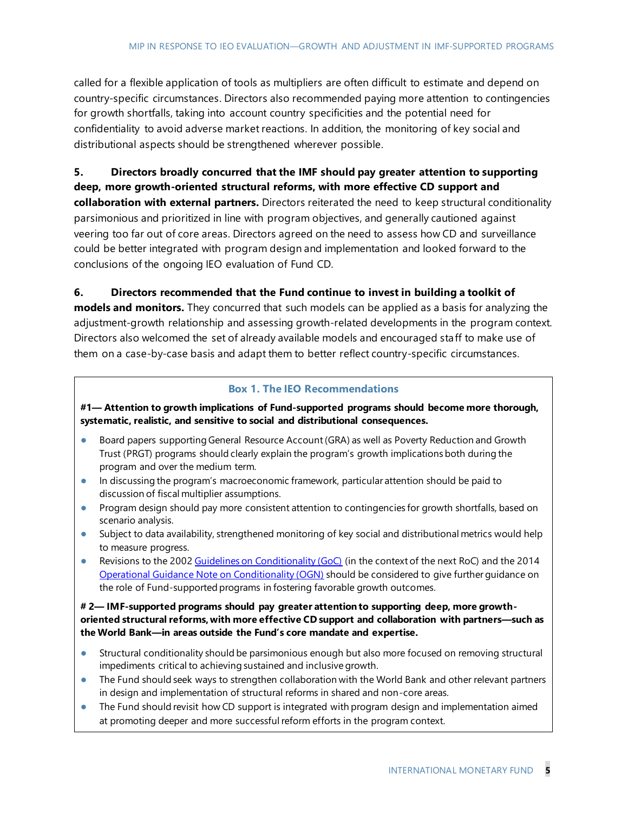called for a flexible application of tools as multipliers are often difficult to estimate and depend on country-specific circumstances. Directors also recommended paying more attention to contingencies for growth shortfalls, taking into account country specificities and the potential need for confidentiality to avoid adverse market reactions. In addition, the monitoring of key social and distributional aspects should be strengthened wherever possible.

### **5. Directors broadly concurred that the IMF should pay greater attention to supporting deep, more growth-oriented structural reforms, with more effective CD support and**

**collaboration with external partners.** Directors reiterated the need to keep structural conditionality parsimonious and prioritized in line with program objectives, and generally cautioned against veering too far out of core areas. Directors agreed on the need to assess how CD and surveillance could be better integrated with program design and implementation and looked forward to the conclusions of the ongoing IEO evaluation of Fund CD.

### **6. Directors recommended that the Fund continue to invest in building a toolkit of**

**models and monitors.** They concurred that such models can be applied as a basis for analyzing the adjustment-growth relationship and assessing growth-related developments in the program context. Directors also welcomed the set of already available models and encouraged staff to make use of them on a case-by-case basis and adapt them to better reflect country-specific circumstances.

### **Box 1. The IEO Recommendations**

**#1— Attention to growth implications of Fund-supported programs should become more thorough, systematic, realistic, and sensitive to social and distributional consequences.**

- **●** Board papers supporting General Resource Account (GRA) as well as Poverty Reduction and Growth Trust (PRGT) programs should clearly explain the program's growth implications both during the program and over the medium term.
- **●** In discussing the program's macroeconomic framework, particular attention should be paid to discussion of fiscal multiplier assumptions.
- **●** Program design should pay more consistent attention to contingencies for growth shortfalls, based on scenario analysis.
- **●** Subject to data availability, strengthened monitoring of key social and distributional metrics would help to measure progress.
- **•** Revisions to the 200[2 Guidelines on Conditionality \(GoC\)](https://www.imf.org/en/Publications/Policy-Papers/Issues/2016/12/31/Guidelines-on-Conditionality-PP167) (in the context of the next RoC) and the 2014 [Operational Guidance Note on Conditionality \(OGN\)](https://www.imf.org/en/Publications/Policy-Papers/Issues/2016/12/31/Revised-Operational-Guidance-to-IMF-Staff-on-the-2002-Conditionality-Guidelines-PP4889) should be considered to give further guidance on the role of Fund-supported programs in fostering favorable growth outcomes.

### **# 2— IMF-supported programs should pay greater attention to supporting deep, more growthoriented structural reforms, with more effective CD support and collaboration with partners—such as the World Bank—in areas outside the Fund's core mandate and expertise.**

- Structural conditionality should be parsimonious enough but also more focused on removing structural impediments critical to achieving sustained and inclusive growth.
- **●** The Fund should seek ways to strengthen collaboration with the World Bank and other relevant partners in design and implementation of structural reforms in shared and non-core areas.
- **●** The Fund should revisit how CD support is integrated with program design and implementation aimed at promoting deeper and more successful reform efforts in the program context.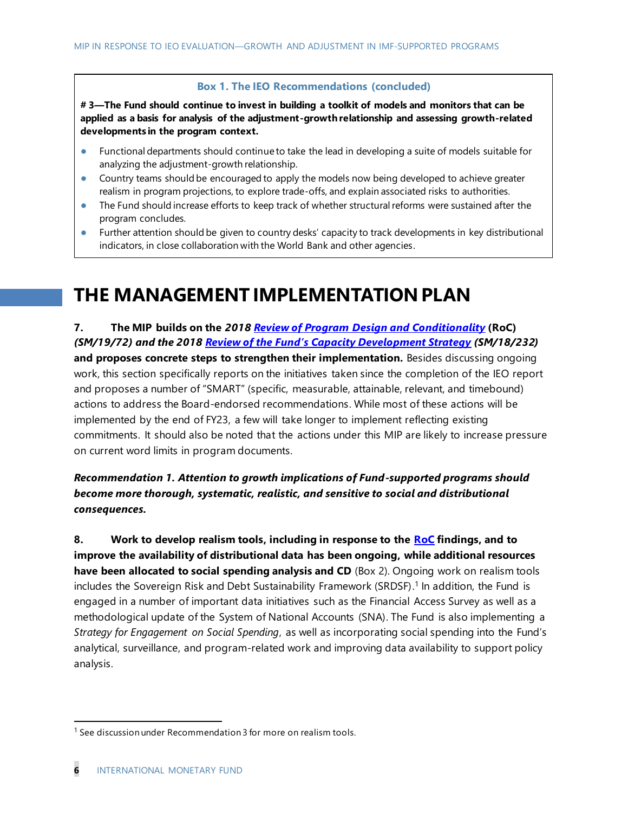#### **Box 1. The IEO Recommendations (concluded)**

**# 3—The Fund should continue to invest in building a toolkit of models and monitors that can be applied as a basis for analysis of the adjustment-growth relationship and assessing growth-related developments in the program context.** 

- **●** Functional departments should continue to take the lead in developing a suite of models suitable for analyzing the adjustment-growth relationship.
- **●** Country teams should be encouraged to apply the models now being developed to achieve greater realism in program projections, to explore trade-offs, and explain associated risks to authorities.
- **●** The Fund should increase efforts to keep track of whether structural reforms were sustained after the program concludes.
- **●** Further attention should be given to country desks' capacity to track developments in key distributional indicators, in close collaboration with the World Bank and other agencies.

## **THE MANAGEMENT IMPLEMENTATION PLAN**

**7. The MIP builds on the** *201[8 Review of Program Design and Conditionality](https://www.imf.org/en/Publications/Policy-Papers/Issues/2019/05/20/2018-Review-of-Program-Design-and-Conditionality-46910#:~:text=The%202018%20Review%20of%20Program,September%202011%20and%20end%2D2017.)* **(RoC)**  *(SM/19/72) and the 2018 Review of the Fund's [Capacity Development Strategy](https://www.imf.org/en/Publications/Policy-Papers/Issues/2018/11/20/2018-review-of-the-funds-capacity-development-strategy) (SM/18/232)*  **and proposes concrete steps to strengthen their implementation.** Besides discussing ongoing work, this section specifically reports on the initiatives taken since the completion of the IEO report and proposes a number of "SMART" (specific, measurable, attainable, relevant, and timebound) actions to address the Board-endorsed recommendations. While most of these actions will be implemented by the end of FY23, a few will take longer to implement reflecting existing commitments. It should also be noted that the actions under this MIP are likely to increase pressure on current word limits in program documents.

*Recommendation 1. Attention to growth implications of Fund-supported programs should become more thorough, systematic, realistic, and sensitive to social and distributional consequences.* 

**8. Work to develop realism tools, including in response to the [RoC](https://www.imf.org/en/Publications/Policy-Papers/Issues/2019/05/20/2018-Review-of-Program-Design-and-Conditionality-46910#:~:text=The%202018%20Review%20of%20Program,September%202011%20and%20end%2D2017.) findings, and to improve the availability of distributional data has been ongoing, while additional resources have been allocated to social spending analysis and CD** (Box 2). Ongoing work on realism tools includes the Sovereign Risk and Debt Sustainability Framework (SRDSF). 1 In addition, the Fund is engaged in a number of important data initiatives such as the Financial Access Survey as well as a methodological update of the System of National Accounts (SNA). The Fund is also implementing a *Strategy for Engagement on Social Spending*, as well as incorporating social spending into the Fund's analytical, surveillance, and program-related work and improving data availability to support policy analysis.

 $1$  See discussion under Recommendation 3 for more on realism tools.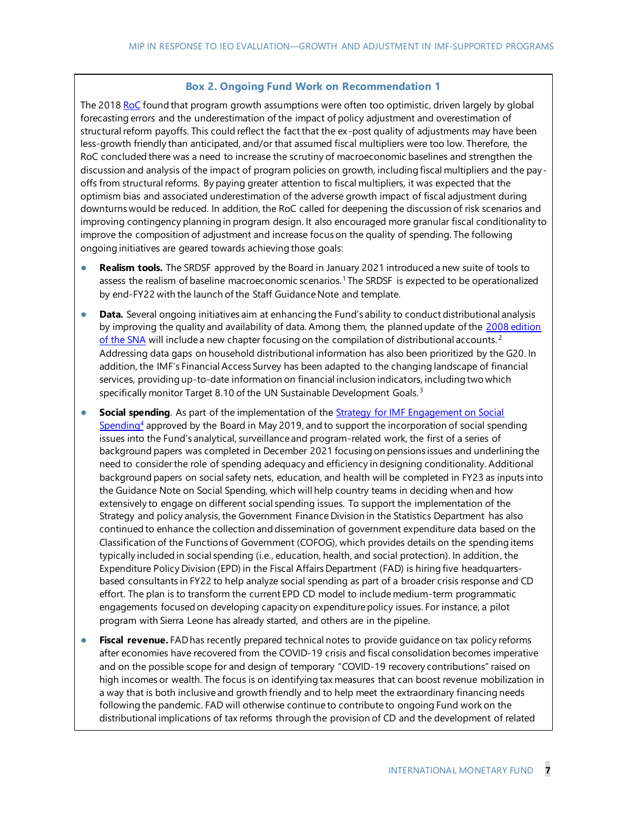#### **Box 2. Ongoing Fund Work on Recommendation 1**

The 201[8 RoC](https://www.imf.org/en/Publications/Policy-Papers/Issues/2019/05/20/2018-Review-of-Program-Design-and-Conditionality-46910#:~:text=The%202018%20Review%20of%20Program,September%202011%20and%20end%2D2017.) found that program growth assumptions were often too optimistic, driven largely by global forecasting errors and the underestimation of the impact of policy adjustment and overestimation of structural reform payoffs. This could reflect the fact that the ex-post quality of adjustments may have been less-growth friendly than anticipated, and/or that assumed fiscal multipliers were too low. Therefore, the RoC concluded there was a need to increase the scrutiny of macroeconomic baselines and strengthen the discussion and analysis of the impact of program policies on growth, including fiscal multipliers and the payoffs from structural reforms. By paying greater attention to fiscal multipliers, it was expected that the optimism bias and associated underestimation of the adverse growth impact of fiscal adjustment during downturns would be reduced. In addition, the RoC called for deepening the discussion of risk scenarios and improving contingency planning in program design. It also encouraged more granular fiscal conditionality to improve the composition of adjustment and increase focus on the quality of spending. The following ongoing initiatives are geared towards achieving those goals:

- **● Realism tools.** The SRDSF approved by the Board in January 2021 introduced a new suite of tools to assess the realism of baseline macroeconomic scenarios.<sup>1</sup> The SRDSF is expected to be operationalized by end-FY22 with the launch of the Staff Guidance Note and template.
- **Data.** Several ongoing initiatives aim at enhancing the Fund's ability to conduct distributional analysis by improving the quality and availability of data. Among them, the planned update of the 2008 edition [of the SNA](https://unstats.un.org/unsd/nationalaccount/docs/SNA2008.pdf) will include a new chapter focusing on the compilation of distributional accounts.<sup>2</sup> Addressing data gaps on household distributional information has also been prioritized by the G20. In addition, the IMF's Financial Access Survey has been adapted to the changing landscape of financial services, providing up-to-date information on financial inclusion indicators, including two which specifically monitor Target 8.10 of the UN Sustainable Development Goals.<sup>3</sup>
- **Social spending**. As part of the implementation of the **Strategy for IMF Engagement on Social**  $Spendina<sup>4</sup>$  approved by the Board in May 2019, and to support the incorporation of social spending issues into the Fund's analytical, surveillance and program-related work, the first of a series of background papers was completed in December 2021 focusing on pensions issues and underlining the need to consider the role of spending adequacy and efficiency in designing conditionality. Additional background papers on social safety nets, education, and health will be completed in FY23 as inputs into the Guidance Note on Social Spending, which will help country teams in deciding when and how extensively to engage on different social spending issues. To support the implementation of the Strategy and policy analysis, the Government Finance Division in the Statistics Department has also continued to enhance the collection and dissemination of government expenditure data based on the Classification of the Functions of Government (COFOG), which provides details on the spending items typically included in social spending (i.e., education, health, and social protection). In addition, the Expenditure Policy Division (EPD) in the Fiscal Affairs Department (FAD) is hiring five headquartersbased consultants in FY22 to help analyze social spending as part of a broader crisis response and CD effort. The plan is to transform the current EPD CD model to include medium-term programmatic engagements focused on developing capacity on expenditure policy issues. For instance, a pilot program with Sierra Leone has already started, and others are in the pipeline.
- **● Fiscal revenue.** FAD has recently prepared technical notes to provide guidance on tax policy reforms after economies have recovered from the COVID-19 crisis and fiscal consolidation becomes imperative and on the possible scope for and design of temporary "COVID-19 recovery contributions" raised on high incomes or wealth. The focus is on identifying tax measures that can boost revenue mobilization in a way that is both inclusive and growth friendly and to help meet the extraordinary financing needs following the pandemic. FAD will otherwise continue to contribute to ongoing Fund work on the distributional implications of tax reforms through the provision of CD and the development of related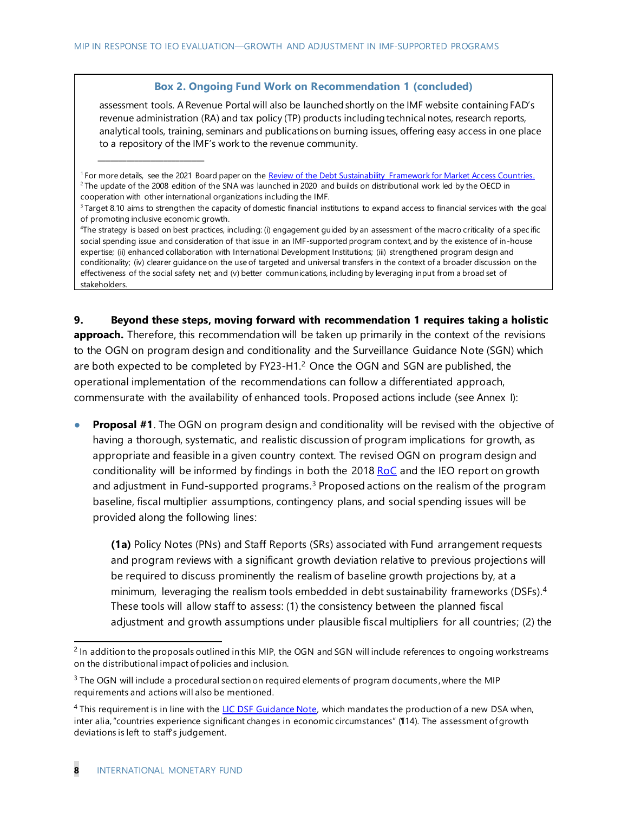#### **Box 2. Ongoing Fund Work on Recommendation 1 (concluded)**

assessment tools. A Revenue Portal will also be launched shortly on the IMF website containing FAD's revenue administration (RA) and tax policy (TP) products including technical notes, research reports, analytical tools, training, seminars and publications on burning issues, offering easy access in one place to a repository of the IMF's work to the revenue community.

4 The strategy is based on best practices, including: (i) engagement guided by an assessment of the macro criticality of a spec ific social spending issue and consideration of that issue in an IMF-supported program context, and by the existence of in-house expertise; (ii) enhanced collaboration with International Development Institutions; (iii) strengthened program design and conditionality; (iv) clearer guidance on the use of targeted and universal transfers in the context of a broader discussion on the effectiveness of the social safety net; and (v) better communications, including by leveraging input from a broad set of stakeholders.

**9. Beyond these steps, moving forward with recommendation 1 requires taking a holistic approach.** Therefore, this recommendation will be taken up primarily in the context of the revisions to the OGN on program design and conditionality and the Surveillance Guidance Note (SGN) which are both expected to be completed by  $FY23-H1<sup>2</sup>$  Once the OGN and SGN are published, the operational implementation of the recommendations can follow a differentiated approach, commensurate with the availability of enhanced tools. Proposed actions include (see Annex I):

**Proposal #1.** The OGN on program design and conditionality will be revised with the objective of having a thorough, systematic, and realistic discussion of program implications for growth, as appropriate and feasible in a given country context. The revised OGN on program design and conditionality will be informed by findings in both the  $2018 \text{ RoC}$  and the IEO report on growth and adjustment in Fund-supported programs.<sup>3</sup> Proposed actions on the realism of the program baseline, fiscal multiplier assumptions, contingency plans, and social spending issues will be provided along the following lines:

**(1a)** Policy Notes (PNs) and Staff Reports (SRs) associated with Fund arrangement requests and program reviews with a significant growth deviation relative to previous projections will be required to discuss prominently the realism of baseline growth projections by, at a minimum, leveraging the realism tools embedded in debt sustainability frameworks (DSFs).<sup>4</sup> These tools will allow staff to assess: (1) the consistency between the planned fiscal adjustment and growth assumptions under plausible fiscal multipliers for all countries; (2) the

\_\_\_\_\_\_\_\_\_\_\_\_\_\_\_\_\_\_\_\_\_\_\_\_\_\_

<sup>&</sup>lt;sup>1</sup> For more details, see the 2021 Board paper on th[e Review of the Debt Sustainability Framework for Market Access Countries.](https://www.imf.org/en/Publications/Policy-Papers/Issues/2021/02/03/Review-of-The-Debt-Sustainability-Framework-For-Market-Access-Countries-50060) <sup>2</sup> The update of the 2008 edition of the SNA was launched in 2020 and builds on distributional work led by the OECD in cooperation with other international organizations including the IMF.

<sup>&</sup>lt;sup>3</sup>Target 8.10 aims to strengthen the capacity of domestic financial institutions to expand access to financial services with the goal of promoting inclusive economic growth.

<sup>&</sup>lt;sup>2</sup> In addition to the proposals outlined in this MIP, the OGN and SGN will include references to ongoing workstreams on the distributional impact of policies and inclusion.

 $3$  The OGN will include a procedural section on required elements of program documents, where the MIP requirements and actions will also be mentioned.

<sup>&</sup>lt;sup>4</sup> This requirement is in line with th[e LIC DSF Guidance Note,](https://www.imf.org/en/Publications/Policy-Papers/Issues/2018/02/14/pp122617guidance-note-on-lic-dsf) which mandates the production of a new DSA when, inter alia, "countries experience significant changes in economic circumstances" (¶14). The assessment of growth deviations is left to staff's judgement.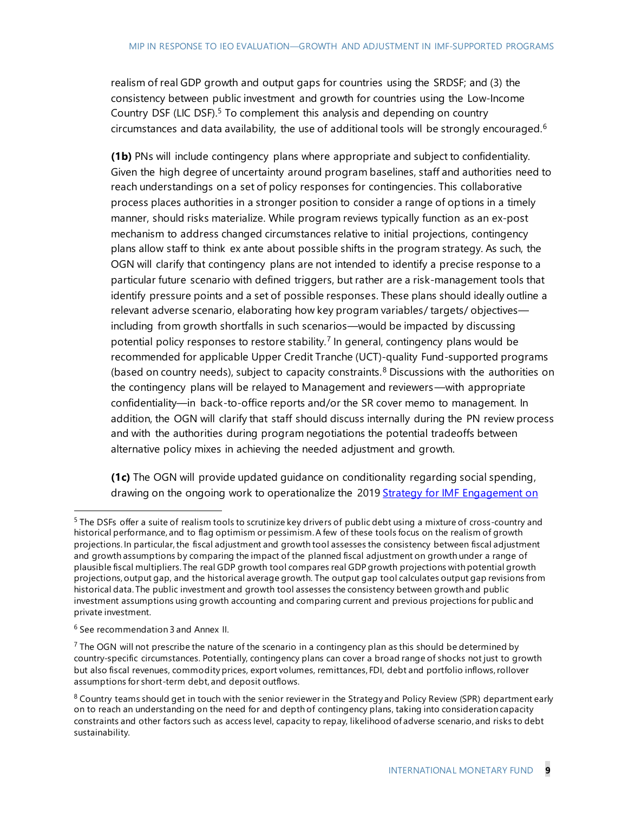realism of real GDP growth and output gaps for countries using the SRDSF; and (3) the consistency between public investment and growth for countries using the Low-Income Country DSF (LIC DSF). <sup>5</sup> To complement this analysis and depending on country circumstances and data availability, the use of additional tools will be strongly encouraged.<sup>6</sup>

**(1b)** PNs will include contingency plans where appropriate and subject to confidentiality. Given the high degree of uncertainty around program baselines, staff and authorities need to reach understandings on a set of policy responses for contingencies. This collaborative process places authorities in a stronger position to consider a range of options in a timely manner, should risks materialize. While program reviews typically function as an ex-post mechanism to address changed circumstances relative to initial projections, contingency plans allow staff to think ex ante about possible shifts in the program strategy. As such, the OGN will clarify that contingency plans are not intended to identify a precise response to a particular future scenario with defined triggers, but rather are a risk-management tools that identify pressure points and a set of possible responses. These plans should ideally outline a relevant adverse scenario, elaborating how key program variables/ targets/ objectives including from growth shortfalls in such scenarios—would be impacted by discussing potential policy responses to restore stability.<sup>7</sup> In general, contingency plans would be recommended for applicable Upper Credit Tranche (UCT)-quality Fund-supported programs (based on country needs), subject to capacity constraints. $8$  Discussions with the authorities on the contingency plans will be relayed to Management and reviewers—with appropriate confidentiality—in back-to-office reports and/or the SR cover memo to management. In addition, the OGN will clarify that staff should discuss internally during the PN review process and with the authorities during program negotiations the potential tradeoffs between alternative policy mixes in achieving the needed adjustment and growth.

**(1c)** The OGN will provide updated guidance on conditionality regarding social spending, drawing on the ongoing work to operationalize the 2019 Strategy for IMF Engagement on

<sup>&</sup>lt;sup>5</sup> The DSFs offer a suite of realism tools to scrutinize key drivers of public debt using a mixture of cross-country and historical performance, and to flag optimism or pessimism. A few of these tools focus on the realism of growth projections. In particular, the fiscal adjustment and growth tool assesses the consistency between fiscal adjustment and growth assumptions by comparing the impact of the planned fiscal adjustment on growth under a range of plausible fiscal multipliers. The real GDP growth tool compares real GDP growth projections with potential growth projections, output gap, and the historical average growth. The output gap tool calculates output gap revisions from historical data. The public investment and growth tool assesses the consistency between growth and public investment assumptions using growth accounting and comparing current and previous projections for public and private investment.

<sup>6</sup> See recommendation 3 and Annex II.

<sup>&</sup>lt;sup>7</sup> The OGN will not prescribe the nature of the scenario in a contingency plan as this should be determined by country-specific circumstances. Potentially, contingency plans can cover a broad range of shocks not just to growth but also fiscal revenues, commodity prices, export volumes, remittances, FDI, debt and portfolio inflows, rollover assumptions for short-term debt, and deposit outflows.

 $8$  Country teams should get in touch with the senior reviewer in the Strategy and Policy Review (SPR) department early on to reach an understanding on the need for and depth of contingency plans, taking into consideration capacity constraints and other factors such as access level, capacity to repay, likelihood of adverse scenario, and risks to debt sustainability.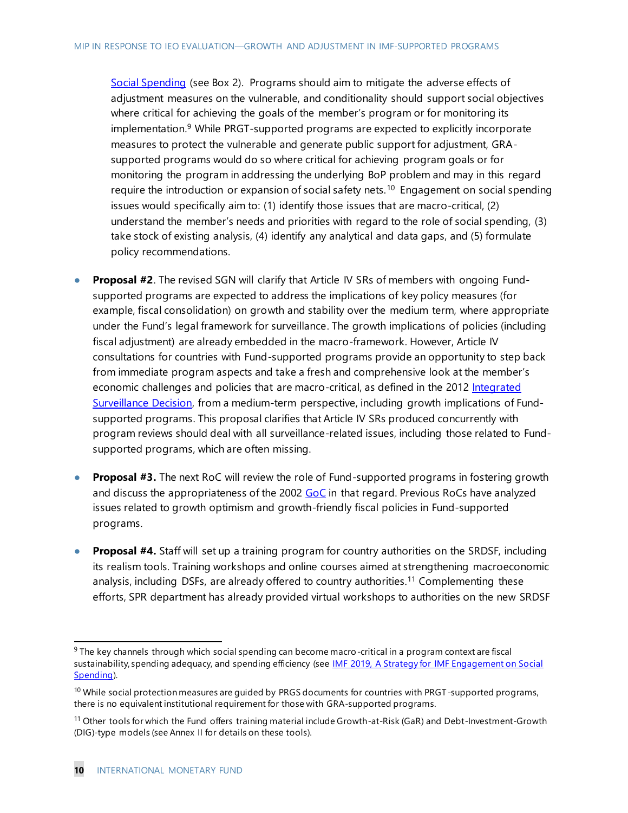[Social Spending](https://www.imf.org/en/Publications/Policy-Papers/Issues/2019/06/10/A-Strategy-for-IMF-Engagement-on-Social-Spending-46975) (see Box 2). Programs should aim to mitigate the adverse effects of adjustment measures on the vulnerable, and conditionality should support social objectives where critical for achieving the goals of the member's program or for monitoring its implementation. <sup>9</sup> While PRGT-supported programs are expected to explicitly incorporate measures to protect the vulnerable and generate public support for adjustment, GRAsupported programs would do so where critical for achieving program goals or for monitoring the program in addressing the underlying BoP problem and may in this regard require the introduction or expansion of social safety nets.<sup>10</sup> Engagement on social spending issues would specifically aim to: (1) identify those issues that are macro-critical, (2) understand the member's needs and priorities with regard to the role of social spending, (3) take stock of existing analysis, (4) identify any analytical and data gaps, and (5) formulate policy recommendations.

- **Proposal #2**. The revised SGN will clarify that Article IV SRs of members with ongoing Fundsupported programs are expected to address the implications of key policy measures (for example, fiscal consolidation) on growth and stability over the medium term, where appropriate under the Fund's legal framework for surveillance. The growth implications of policies (including fiscal adjustment) are already embedded in the macro-framework. However, Article IV consultations for countries with Fund-supported programs provide an opportunity to step back from immediate program aspects and take a fresh and comprehensive look at the member's economic challenges and policies that are macro-critical, as defined in the 2012 Integrated [Surveillance Decision,](https://www.imf.org/en/Publications/Policy-Papers/Issues/2016/12/31/Modernizing-the-Legal-Framework-for-Surveillance-An-Integrated-Surveillance-Decision-PP4673) from a medium-term perspective, including growth implications of Fundsupported programs. This proposal clarifies that Article IV SRs produced concurrently with program reviews should deal with all surveillance-related issues, including those related to Fundsupported programs, which are often missing.
- **Proposal #3.** The next RoC will review the role of Fund-supported programs in fostering growth and discuss the appropriateness of the 2002 [GoC](https://www.imf.org/en/Publications/Policy-Papers/Issues/2016/12/31/Guidelines-on-Conditionality-PP167) in that regard. Previous RoCs have analyzed issues related to growth optimism and growth-friendly fiscal policies in Fund-supported programs.
- **Proposal #4.** Staff will set up a training program for country authorities on the SRDSF, including its realism tools. Training workshops and online courses aimed at strengthening macroeconomic analysis, including DSFs, are already offered to country authorities.<sup>11</sup> Complementing these efforts, SPR department has already provided virtual workshops to authorities on the new SRDSF

 $9$  The key channels through which social spending can become macro-critical in a program context are fiscal sustainability, spending adequacy, and spending efficiency (see [IMF 2019, A Strategy for IMF Engagement on Social](https://www.imf.org/en/Publications/Policy-Papers/Issues/2019/06/10/A-Strategy-for-IMF-Engagement-on-Social-Spending-46975)  [Spending\)](https://www.imf.org/en/Publications/Policy-Papers/Issues/2019/06/10/A-Strategy-for-IMF-Engagement-on-Social-Spending-46975).

 $10$  While social protection measures are quided by PRGS documents for countries with PRGT-supported programs, there is no equivalent institutional requirement for those with GRA-supported programs.

<sup>11</sup> Other tools for which the Fund offers training material include Growth-at-Risk (GaR) and Debt-Investment-Growth (DIG)-type models (see Annex II for details on these tools).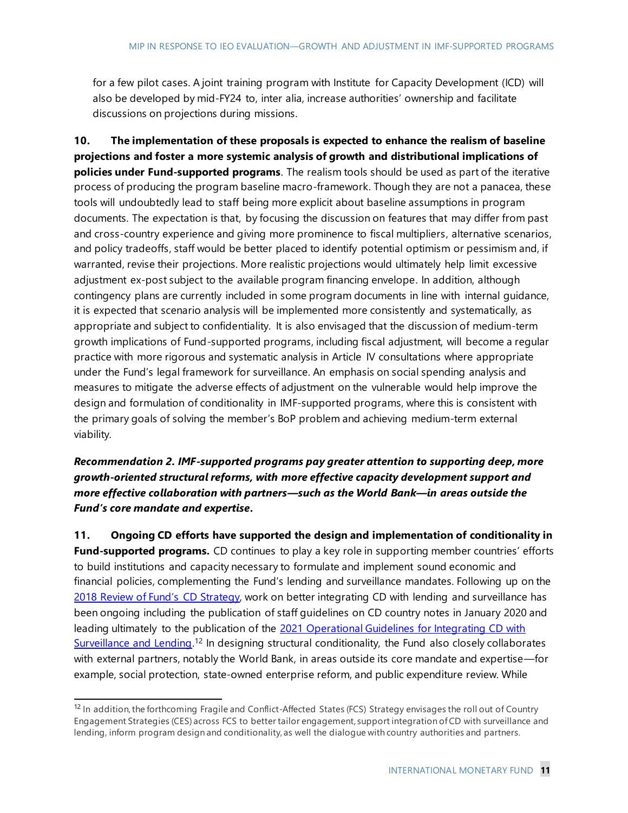for a few pilot cases. A joint training program with Institute for Capacity Development (ICD) will also be developed by mid-FY24 to, inter alia, increase authorities' ownership and facilitate discussions on projections during missions.

**10. The implementation of these proposals is expected to enhance the realism of baseline projections and foster a more systemic analysis of growth and distributional implications of policies under Fund-supported programs**. The realism tools should be used as part of the iterative process of producing the program baseline macro-framework. Though they are not a panacea, these tools will undoubtedly lead to staff being more explicit about baseline assumptions in program documents. The expectation is that, by focusing the discussion on features that may differ from past and cross-country experience and giving more prominence to fiscal multipliers, alternative scenarios, and policy tradeoffs, staff would be better placed to identify potential optimism or pessimism and, if warranted, revise their projections. More realistic projections would ultimately help limit excessive adjustment ex-post subject to the available program financing envelope. In addition, although contingency plans are currently included in some program documents in line with internal guidance, it is expected that scenario analysis will be implemented more consistently and systematically, as appropriate and subject to confidentiality. It is also envisaged that the discussion of medium-term growth implications of Fund-supported programs, including fiscal adjustment, will become a regular practice with more rigorous and systematic analysis in Article IV consultations where appropriate under the Fund's legal framework for surveillance. An emphasis on social spending analysis and measures to mitigate the adverse effects of adjustment on the vulnerable would help improve the design and formulation of conditionality in IMF-supported programs, where this is consistent with the primary goals of solving the member's BoP problem and achieving medium-term external viability.

## *Recommendation 2. IMF-supported programs pay greater attention to supporting deep, more growth-oriented structural reforms, with more effective capacity development support and more effective collaboration with partners—such as the World Bank—in areas outside the Fund's core mandate and expertise.*

**11. Ongoing CD efforts have supported the design and implementation of conditionality in**  Fund-supported programs. CD continues to play a key role in supporting member countries' efforts to build institutions and capacity necessary to formulate and implement sound economic and financial policies, complementing the Fund's lending and surveillance mandates. Following up on the 2018 [Review of Fund's](https://www.imf.org/en/Publications/Policy-Papers/Issues/2018/11/20/2018-review-of-the-funds-capacity-development-strategy) CD Strategy, work on better integrating CD with lending and surveillance has been ongoing including the publication of staff guidelines on CD country notes in January 2020 and leading ultimately to the publication of the 2021 Operational Guidelines for Integrating CD with [Surveillance and Lending.](http://www-intranet.imf.org/departments/ICD/FundGovernance/Documents/CD%20Policies%20and%20Guidelines/Operational_Guidelines_for_CD_Integration__April_2021.pdf)<sup>12</sup> In designing structural conditionality, the Fund also closely collaborates with external partners, notably the World Bank, in areas outside its core mandate and expertise—for example, social protection, state-owned enterprise reform, and public expenditure review. While

<sup>&</sup>lt;sup>12</sup> In addition, the forthcoming Fragile and Conflict-Affected States (FCS) Strategy envisages the roll out of Country Engagement Strategies (CES) across FCS to better tailor engagement, support integration of CD with surveillance and lending, inform program design and conditionality, as well the dialogue with country authorities and partners.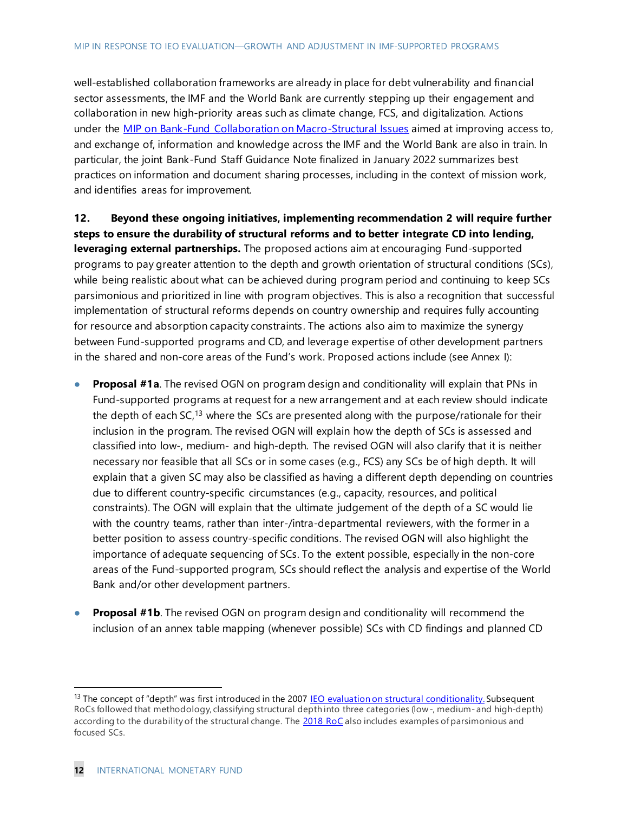well-established collaboration frameworks are already in place for debt vulnerability and financial sector assessments, the IMF and the World Bank are currently stepping up their engagement and collaboration in new high-priority areas such as climate change, FCS, and digitalization. Actions under the [MIP on Bank-Fund Collaboration on Macro-Structural Issues](https://www.imf.org/en/Publications/Policy-Papers/Issues/2021/10/16/Implementation-Plan-in-Response-To-The-Board-Endorsed-Recommendations-From-The-IEO-492867) aimed at improving access to, and exchange of, information and knowledge across the IMF and the World Bank are also in train. In particular, the joint Bank-Fund Staff Guidance Note finalized in January 2022 summarizes best practices on information and document sharing processes, including in the context of mission work, and identifies areas for improvement.

**12. Beyond these ongoing initiatives, implementing recommendation 2 will require further steps to ensure the durability of structural reforms and to better integrate CD into lending, leveraging external partnerships.** The proposed actions aim at encouraging Fund-supported programs to pay greater attention to the depth and growth orientation of structural conditions (SCs), while being realistic about what can be achieved during program period and continuing to keep SCs parsimonious and prioritized in line with program objectives. This is also a recognition that successful implementation of structural reforms depends on country ownership and requires fully accounting for resource and absorption capacity constraints. The actions also aim to maximize the synergy between Fund-supported programs and CD, and leverage expertise of other development partners in the shared and non-core areas of the Fund's work. Proposed actions include (see Annex I):

- **Proposal #1a**. The revised OGN on program design and conditionality will explain that PNs in Fund-supported programs at request for a new arrangement and at each review should indicate the depth of each SC,<sup>13</sup> where the SCs are presented along with the purpose/rationale for their inclusion in the program. The revised OGN will explain how the depth of SCs is assessed and classified into low-, medium- and high-depth. The revised OGN will also clarify that it is neither necessary nor feasible that all SCs or in some cases (e.g., FCS) any SCs be of high depth. It will explain that a given SC may also be classified as having a different depth depending on countries due to different country-specific circumstances (e.g., capacity, resources, and political constraints). The OGN will explain that the ultimate judgement of the depth of a SC would lie with the country teams, rather than inter-/intra-departmental reviewers, with the former in a better position to assess country-specific conditions. The revised OGN will also highlight the importance of adequate sequencing of SCs. To the extent possible, especially in the non-core areas of the Fund-supported program, SCs should reflect the analysis and expertise of the World Bank and/or other development partners.
- **Proposal #1b.** The revised OGN on program design and conditionality will recommend the inclusion of an annex table mapping (whenever possible) SCs with CD findings and planned CD

<sup>&</sup>lt;sup>13</sup> The concept of "depth" was first introduced in the 2007 [IEO evaluation on structural conditionality](https://ieo.imf.org/en/our-work/Evaluations/Completed/2008-0103-structural-conditionality-in-imf-supported-programs). Subsequent RoCs followed that methodology, classifying structural depth into three categories (low-, medium- and high-depth) according to the durability of the structural change. The [2018 RoC](https://www.imf.org/en/Publications/Policy-Papers/Issues/2019/05/20/2018-Review-of-Program-Design-and-Conditionality-46910) also includes examples of parsimonious and focused SCs.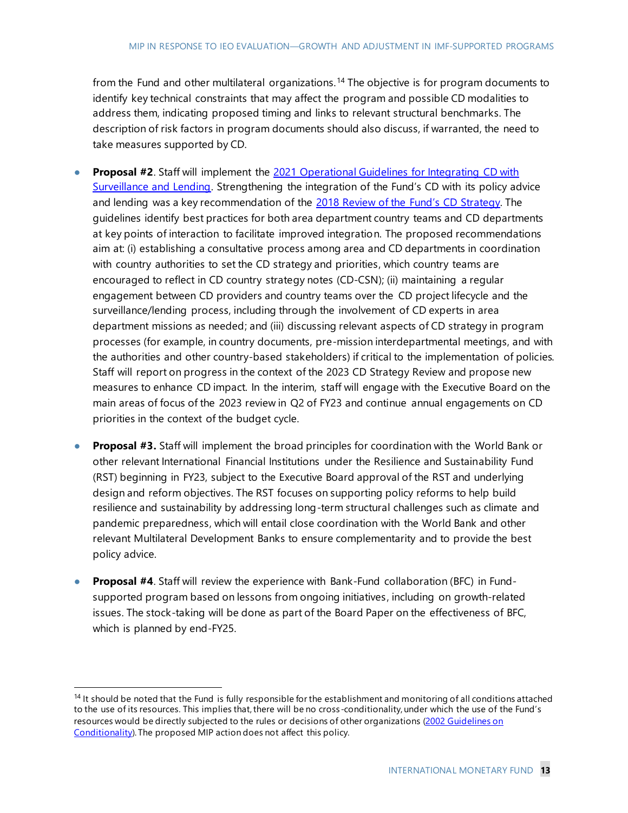from the Fund and other multilateral organizations.<sup>14</sup> The objective is for program documents to identify key technical constraints that may affect the program and possible CD modalities to address them, indicating proposed timing and links to relevant structural benchmarks. The description of risk factors in program documents should also discuss, if warranted, the need to take measures supported by CD.

- **Proposal #2.** Staff will implement the 2021 Operational Guidelines for Integrating CD with [Surveillance and Lending.](http://www-intranet.imf.org/departments/ICD/FundGovernance/Documents/CD%20Policies%20and%20Guidelines/Operational_Guidelines_for_CD_Integration__April_2021.pdf) Strengthening the integration of the Fund's CD with its policy advice and lending was a key recommendation of the 2018 [Review of the Fund's CD](https://www.imf.org/en/Publications/Policy-Papers/Issues/2018/11/20/2018-review-of-the-funds-capacity-development-strategy) Strategy. The guidelines identify best practices for both area department country teams and CD departments at key points of interaction to facilitate improved integration. The proposed recommendations aim at: (i) establishing a consultative process among area and CD departments in coordination with country authorities to set the CD strategy and priorities, which country teams are encouraged to reflect in CD country strategy notes (CD-CSN); (ii) maintaining a regular engagement between CD providers and country teams over the CD project lifecycle and the surveillance/lending process, including through the involvement of CD experts in area department missions as needed; and (iii) discussing relevant aspects of CD strategy in program processes (for example, in country documents, pre-mission interdepartmental meetings, and with the authorities and other country-based stakeholders) if critical to the implementation of policies. Staff will report on progress in the context of the 2023 CD Strategy Review and propose new measures to enhance CD impact. In the interim, staff will engage with the Executive Board on the main areas of focus of the 2023 review in Q2 of FY23 and continue annual engagements on CD priorities in the context of the budget cycle.
- **Proposal #3.** Staff will implement the broad principles for coordination with the World Bank or other relevant International Financial Institutions under the Resilience and Sustainability Fund (RST) beginning in FY23, subject to the Executive Board approval of the RST and underlying design and reform objectives. The RST focuses on supporting policy reforms to help build resilience and sustainability by addressing long-term structural challenges such as climate and pandemic preparedness, which will entail close coordination with the World Bank and other relevant Multilateral Development Banks to ensure complementarity and to provide the best policy advice.
- **● Proposal #4**. Staff will review the experience with Bank-Fund collaboration (BFC) in Fundsupported program based on lessons from ongoing initiatives , including on growth-related issues. The stock-taking will be done as part of the Board Paper on the effectiveness of BFC, which is planned by end-FY25.

 $14$  It should be noted that the Fund is fully responsible for the establishment and monitoring of all conditions attached to the use of its resources. This implies that, there will be no cross -conditionality, under which the use of the Fund's resources would be directly subjected to the rules or decisions of other organizations [\(2002 Guidelines on](https://www.imf.org/External/np/pdr/cond/2002/eng/guid/092302.htm)  [Conditionality\)](https://www.imf.org/External/np/pdr/cond/2002/eng/guid/092302.htm). The proposed MIP action does not affect this policy.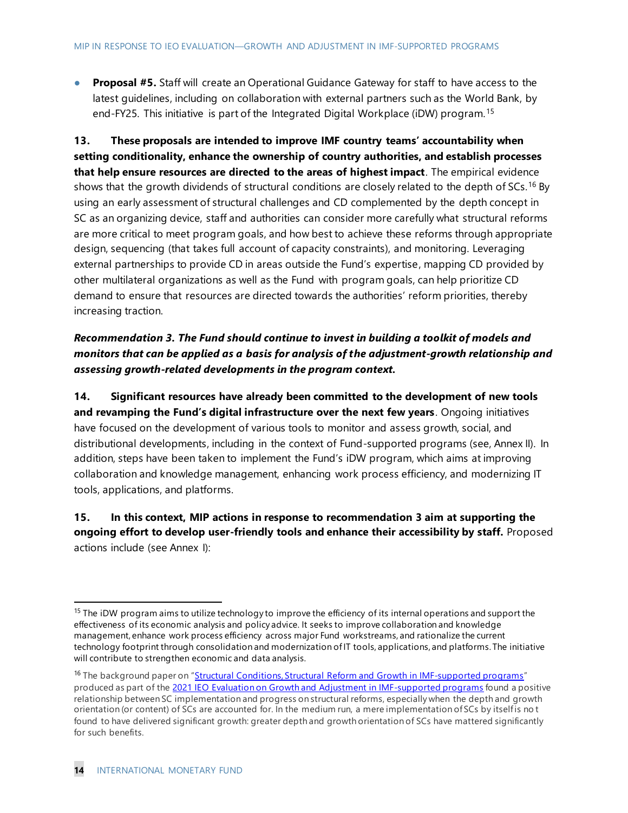**● Proposal #5.** Staff will create an Operational Guidance Gateway for staff to have access to the latest guidelines, including on collaboration with external partners such as the World Bank, by end-FY25. This initiative is part of the Integrated Digital Workplace (iDW) program.<sup>15</sup>

**13. These proposals are intended to improve IMF country teams' accountability when setting conditionality, enhance the ownership of country authorities, and establish processes that help ensure resources are directed to the areas of highest impact**. The empirical evidence shows that the growth dividends of structural conditions are closely related to the depth of SCs.<sup>16</sup> By using an early assessment of structural challenges and CD complemented by the depth concept in SC as an organizing device, staff and authorities can consider more carefully what structural reforms are more critical to meet program goals, and how best to achieve these reforms through appropriate design, sequencing (that takes full account of capacity constraints), and monitoring. Leveraging external partnerships to provide CD in areas outside the Fund's expertise, mapping CD provided by other multilateral organizations as well as the Fund with program goals, can help prioritize CD demand to ensure that resources are directed towards the authorities' reform priorities, thereby increasing traction.

## *Recommendation 3. The Fund should continue to invest in building a toolkit of models and monitors that can be applied as a basis for analysis of the adjustment-growth relationship and assessing growth-related developments in the program context.*

**14. Significant resources have already been committed to the development of new tools and revamping the Fund's digital infrastructure over the next few years**. Ongoing initiatives have focused on the development of various tools to monitor and assess growth, social, and distributional developments, including in the context of Fund-supported programs (see, Annex II). In addition, steps have been taken to implement the Fund's iDW program, which aims at improving collaboration and knowledge management, enhancing work process efficiency, and modernizing IT tools, applications, and platforms.

### **15. In this context, MIP actions in response to recommendation 3 aim at supporting the ongoing effort to develop user-friendly tools and enhance their accessibility by staff.** Proposed actions include (see Annex I):

<sup>&</sup>lt;sup>15</sup> The iDW program aims to utilize technology to improve the efficiency of its internal operations and support the effectiveness of its economic analysis and policy advice. It seeks to improve collaboration and knowledge management, enhance work process efficiency across major Fund workstreams, and rationalize the current technology footprint through consolidation and modernization of IT tools, applications, and platforms. The initiative will contribute to strengthen economic and data analysis.

<sup>&</sup>lt;sup>16</sup> The background paper on "*Structural Conditions, Structural [Reform and Growth in IMF-supported programs](https://ieo.imf.org/-/media/IEO/Files/evaluations/completed/09-09-2021-growth-and-adjustment-in-imf-supported-programs/adg-bp04-growth-structural-conditions-structural-reforms-in-imf-supported-programs.ashx)"* produced as part of the [2021 IEO Evaluation on Growth and Adjustment in IMF-supported programs](https://ieo.imf.org/en/our-work/Evaluations/Completed/2021-0909-growth-and-adjustment-in-imf-supported-programs) found a positive relationship between SC implementation and progress on structural reforms, especially when the depth and growth orientation (or content) of SCs are accounted for. In the medium run, a mere implementation of SCs by itself is not found to have delivered significant growth: greater depth and growth orientation of SCs have mattered significantly for such benefits.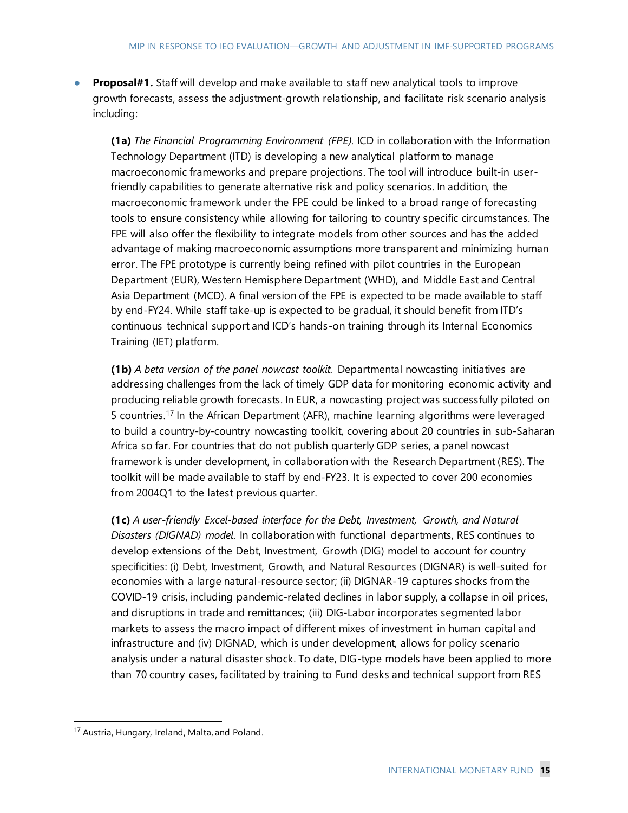**Proposal#1.** Staff will develop and make available to staff new analytical tools to improve growth forecasts, assess the adjustment-growth relationship, and facilitate risk scenario analysis including:

**(1a)** *The Financial Programming Environment (FPE).* ICD in collaboration with the Information Technology Department (ITD) is developing a new analytical platform to manage macroeconomic frameworks and prepare projections. The tool will introduce built-in userfriendly capabilities to generate alternative risk and policy scenarios. In addition, the macroeconomic framework under the FPE could be linked to a broad range of forecasting tools to ensure consistency while allowing for tailoring to country specific circumstances. The FPE will also offer the flexibility to integrate models from other sources and has the added advantage of making macroeconomic assumptions more transparent and minimizing human error. The FPE prototype is currently being refined with pilot countries in the European Department (EUR), Western Hemisphere Department (WHD), and Middle East and Central Asia Department (MCD). A final version of the FPE is expected to be made available to staff by end-FY24. While staff take-up is expected to be gradual, it should benefit from ITD's continuous technical support and ICD's hands-on training through its Internal Economics Training (IET) platform.

**(1b)** *A beta version of the panel nowcast toolkit.* Departmental nowcasting initiatives are addressing challenges from the lack of timely GDP data for monitoring economic activity and producing reliable growth forecasts. In EUR, a nowcasting project was successfully piloted on 5 countries.<sup>17</sup> In the African Department (AFR), machine learning algorithms were leveraged to build a country-by-country nowcasting toolkit, covering about 20 countries in sub-Saharan Africa so far. For countries that do not publish quarterly GDP series, a panel nowcast framework is under development, in collaboration with the Research Department (RES). The toolkit will be made available to staff by end-FY23. It is expected to cover 200 economies from 2004Q1 to the latest previous quarter.

**(1c)** *A user-friendly Excel-based interface for the Debt, Investment, Growth, and Natural Disasters (DIGNAD) model*. In collaboration with functional departments, RES continues to develop extensions of the Debt, Investment, Growth (DIG) model to account for country specificities: (i) Debt, Investment, Growth, and Natural Resources (DIGNAR) is well-suited for economies with a large natural-resource sector; (ii) DIGNAR-19 captures shocks from the COVID-19 crisis, including pandemic-related declines in labor supply, a collapse in oil prices, and disruptions in trade and remittances; (iii) DIG-Labor incorporates segmented labor markets to assess the macro impact of different mixes of investment in human capital and infrastructure and (iv) DIGNAD, which is under development, allows for policy scenario analysis under a natural disaster shock. To date, DIG-type models have been applied to more than 70 country cases, facilitated by training to Fund desks and technical support from RES

<sup>17</sup> Austria, Hungary, Ireland, Malta, and Poland.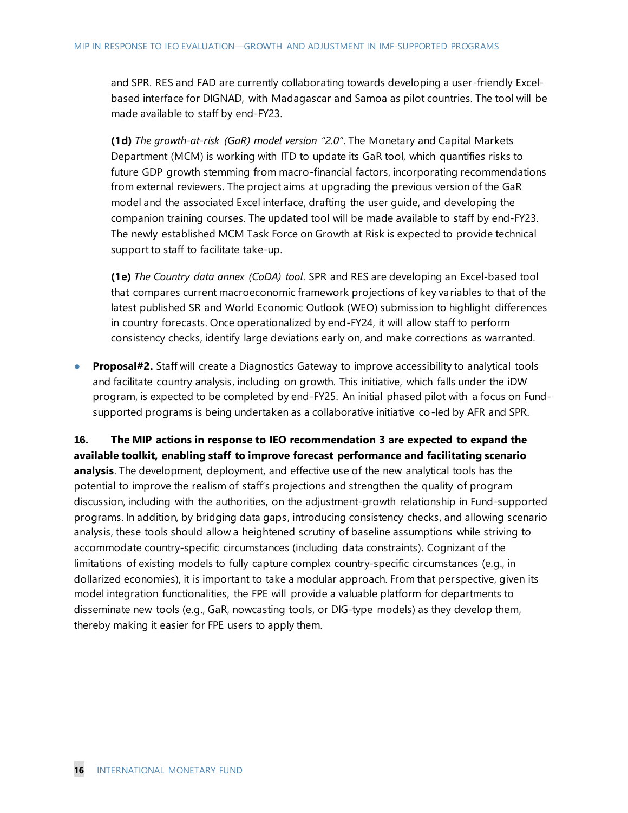and SPR. RES and FAD are currently collaborating towards developing a user -friendly Excelbased interface for DIGNAD, with Madagascar and Samoa as pilot countries. The tool will be made available to staff by end-FY23.

**(1d)** *The growth-at-risk (GaR) model version "2.0"*. The Monetary and Capital Markets Department (MCM) is working with ITD to update its GaR tool, which quantifies risks to future GDP growth stemming from macro-financial factors, incorporating recommendations from external reviewers. The project aims at upgrading the previous version of the GaR model and the associated Excel interface, drafting the user guide, and developing the companion training courses. The updated tool will be made available to staff by end-FY23. The newly established MCM Task Force on Growth at Risk is expected to provide technical support to staff to facilitate take-up.

**(1e)** *The Country data annex (CoDA) tool*. SPR and RES are developing an Excel-based tool that compares current macroeconomic framework projections of key variables to that of the latest published SR and World Economic Outlook (WEO) submission to highlight differences in country forecasts. Once operationalized by end-FY24, it will allow staff to perform consistency checks, identify large deviations early on, and make corrections as warranted.

**Proposal#2.** Staff will create a Diagnostics Gateway to improve accessibility to analytical tools and facilitate country analysis, including on growth. This initiative, which falls under the iDW program, is expected to be completed by end-FY25. An initial phased pilot with a focus on Fundsupported programs is being undertaken as a collaborative initiative co-led by AFR and SPR.

**16. The MIP actions in response to IEO recommendation 3 are expected to expand the available toolkit, enabling staff to improve forecast performance and facilitating scenario analysis**. The development, deployment, and effective use of the new analytical tools has the potential to improve the realism of staff's projections and strengthen the quality of program discussion, including with the authorities, on the adjustment-growth relationship in Fund-supported programs. In addition, by bridging data gaps, introducing consistency checks, and allowing scenario analysis, these tools should allow a heightened scrutiny of baseline assumptions while striving to accommodate country-specific circumstances (including data constraints). Cognizant of the limitations of existing models to fully capture complex country-specific circumstances (e.g., in dollarized economies), it is important to take a modular approach. From that per spective, given its model integration functionalities, the FPE will provide a valuable platform for departments to disseminate new tools (e.g., GaR, nowcasting tools, or DIG-type models) as they develop them, thereby making it easier for FPE users to apply them.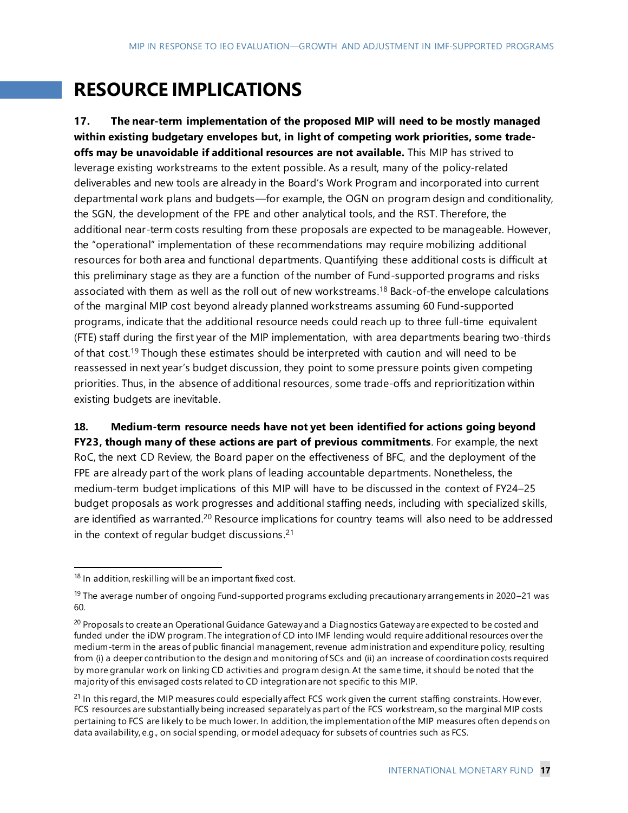# **RESOURCE IMPLICATIONS**

**17. The near-term implementation of the proposed MIP will need to be mostly managed within existing budgetary envelopes but, in light of competing work priorities, some tradeoffs may be unavoidable if additional resources are not available.** This MIP has strived to leverage existing workstreams to the extent possible. As a result, many of the policy-related deliverables and new tools are already in the Board's Work Program and incorporated into current departmental work plans and budgets—for example, the OGN on program design and conditionality, the SGN, the development of the FPE and other analytical tools, and the RST. Therefore, the additional near-term costs resulting from these proposals are expected to be manageable. However, the "operational" implementation of these recommendations may require mobilizing additional resources for both area and functional departments. Quantifying these additional costs is difficult at this preliminary stage as they are a function of the number of Fund-supported programs and risks associated with them as well as the roll out of new workstreams. <sup>18</sup> Back-of-the envelope calculations of the marginal MIP cost beyond already planned workstreams assuming 60 Fund-supported programs, indicate that the additional resource needs could reach up to three full-time equivalent (FTE) staff during the first year of the MIP implementation, with area departments bearing two-thirds of that cost.<sup>19</sup> Though these estimates should be interpreted with caution and will need to be reassessed in next year's budget discussion, they point to some pressure points given competing priorities. Thus, in the absence of additional resources, some trade-offs and reprioritization within existing budgets are inevitable.

### **18. Medium-term resource needs have not yet been identified for actions going beyond**

**FY23, though many of these actions are part of previous commitments**. For example, the next RoC, the next CD Review, the Board paper on the effectiveness of BFC, and the deployment of the FPE are already part of the work plans of leading accountable departments. Nonetheless, the medium-term budget implications of this MIP will have to be discussed in the context of FY24–25 budget proposals as work progresses and additional staffing needs, including with specialized skills, are identified as warranted.<sup>20</sup> Resource implications for country teams will also need to be addressed in the context of regular budget discussions. $21$ 

 $18$  In addition, reskilling will be an important fixed cost.

<sup>&</sup>lt;sup>19</sup> The average number of ongoing Fund-supported programs excluding precautionary arrangements in 2020–21 was 60.

<sup>&</sup>lt;sup>20</sup> Proposals to create an Operational Guidance Gateway and a Diagnostics Gateway are expected to be costed and funded under the iDW program. The integration of CD into IMF lending would require additional resources over the medium-term in the areas of public financial management, revenue administration and expenditure policy, resulting from (i) a deeper contribution to the design and monitoring of SCs and (ii) an increase of coordination costs required by more granular work on linking CD activities and program design. At the same time, it should be noted that the majority of this envisaged costs related to CD integration are not specific to this MIP.

 $21$  In this regard, the MIP measures could especially affect FCS work given the current staffing constraints. However, FCS resources are substantially being increased separately as part of the FCS workstream, so the marginal MIP costs pertaining to FCS are likely to be much lower. In addition, the implementation of the MIP measures often depends on data availability, e.g., on social spending, or model adequacy for subsets of countries such as FCS.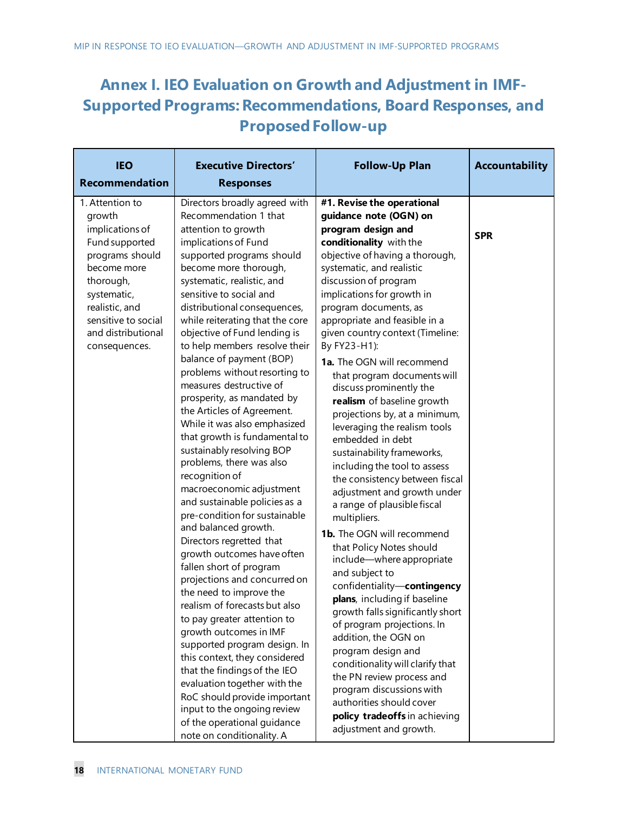## **Annex I. IEO Evaluation on Growth and Adjustment in IMF-Supported Programs: Recommendations, Board Responses, and Proposed Follow-up**

| #1. Revise the operational<br>guidance note (OGN) on<br>program design and<br>conditionality with the<br>objective of having a thorough,<br>systematic, and realistic<br>discussion of program<br>implications for growth in<br>program documents, as<br>appropriate and feasible in a<br>given country context (Timeline:<br>By FY23-H1):<br><b>1a.</b> The OGN will recommend<br>that program documents will<br>discuss prominently the<br>realism of baseline growth<br>projections by, at a minimum,<br>leveraging the realism tools<br>embedded in debt<br>sustainability frameworks,<br>including the tool to assess<br>the consistency between fiscal<br>adjustment and growth under<br>a range of plausible fiscal<br>multipliers.<br>1b. The OGN will recommend<br>that Policy Notes should<br>include-where appropriate<br>and subject to<br>confidentiality-contingency<br>plans, including if baseline<br>growth falls significantly short<br>of program projections. In<br>addition, the OGN on<br>program design and<br>conditionality will clarify that<br>the PN review process and<br>program discussions with<br>authorities should cover<br>policy tradeoffs in achieving | <b>SPR</b>             |
|----------------------------------------------------------------------------------------------------------------------------------------------------------------------------------------------------------------------------------------------------------------------------------------------------------------------------------------------------------------------------------------------------------------------------------------------------------------------------------------------------------------------------------------------------------------------------------------------------------------------------------------------------------------------------------------------------------------------------------------------------------------------------------------------------------------------------------------------------------------------------------------------------------------------------------------------------------------------------------------------------------------------------------------------------------------------------------------------------------------------------------------------------------------------------------------------|------------------------|
|                                                                                                                                                                                                                                                                                                                                                                                                                                                                                                                                                                                                                                                                                                                                                                                                                                                                                                                                                                                                                                                                                                                                                                                              | adjustment and growth. |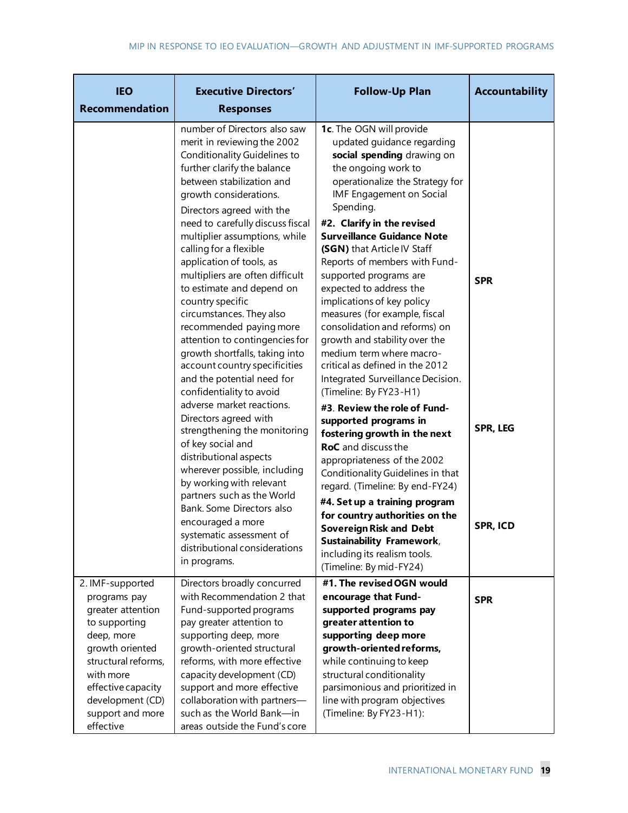| <b>IEO</b><br><b>Recommendation</b>                                                                                                                                                   | <b>Executive Directors'</b><br><b>Responses</b>                                                                                                                                                                                                                                                                                                                                                                                                                                                                                                                                                                                                                                                                                                                                                                                                                                                                                                                                                                   | <b>Follow-Up Plan</b>                                                                                                                                                                                                                                                                                                                                                                                                                                                                                                                                                                                                                                                                                                                                                                                                                                                                                                                                                                                                                                                            | Accountability                                   |
|---------------------------------------------------------------------------------------------------------------------------------------------------------------------------------------|-------------------------------------------------------------------------------------------------------------------------------------------------------------------------------------------------------------------------------------------------------------------------------------------------------------------------------------------------------------------------------------------------------------------------------------------------------------------------------------------------------------------------------------------------------------------------------------------------------------------------------------------------------------------------------------------------------------------------------------------------------------------------------------------------------------------------------------------------------------------------------------------------------------------------------------------------------------------------------------------------------------------|----------------------------------------------------------------------------------------------------------------------------------------------------------------------------------------------------------------------------------------------------------------------------------------------------------------------------------------------------------------------------------------------------------------------------------------------------------------------------------------------------------------------------------------------------------------------------------------------------------------------------------------------------------------------------------------------------------------------------------------------------------------------------------------------------------------------------------------------------------------------------------------------------------------------------------------------------------------------------------------------------------------------------------------------------------------------------------|--------------------------------------------------|
|                                                                                                                                                                                       | number of Directors also saw<br>merit in reviewing the 2002<br>Conditionality Guidelines to<br>further clarify the balance<br>between stabilization and<br>growth considerations.<br>Directors agreed with the<br>need to carefully discuss fiscal<br>multiplier assumptions, while<br>calling for a flexible<br>application of tools, as<br>multipliers are often difficult<br>to estimate and depend on<br>country specific<br>circumstances. They also<br>recommended paying more<br>attention to contingencies for<br>growth shortfalls, taking into<br>account country specificities<br>and the potential need for<br>confidentiality to avoid<br>adverse market reactions.<br>Directors agreed with<br>strengthening the monitoring<br>of key social and<br>distributional aspects<br>wherever possible, including<br>by working with relevant<br>partners such as the World<br>Bank. Some Directors also<br>encouraged a more<br>systematic assessment of<br>distributional considerations<br>in programs. | 1c. The OGN will provide<br>updated guidance regarding<br>social spending drawing on<br>the ongoing work to<br>operationalize the Strategy for<br>IMF Engagement on Social<br>Spending.<br>#2. Clarify in the revised<br><b>Surveillance Guidance Note</b><br>(SGN) that Article IV Staff<br>Reports of members with Fund-<br>supported programs are<br>expected to address the<br>implications of key policy<br>measures (for example, fiscal<br>consolidation and reforms) on<br>growth and stability over the<br>medium term where macro-<br>critical as defined in the 2012<br>Integrated Surveillance Decision.<br>(Timeline: By FY23-H1)<br>#3. Review the role of Fund-<br>supported programs in<br>fostering growth in the next<br><b>RoC</b> and discuss the<br>appropriateness of the 2002<br>Conditionality Guidelines in that<br>regard. (Timeline: By end-FY24)<br>#4. Set up a training program<br>for country authorities on the<br><b>Sovereign Risk and Debt</b><br><b>Sustainability Framework,</b><br>including its realism tools.<br>(Timeline: By mid-FY24) | <b>SPR</b><br><b>SPR, LEG</b><br><b>SPR, ICD</b> |
| 2. IMF-supported<br>programs pay<br>greater attention<br>to supporting<br>deep, more<br>growth oriented<br>structural reforms,<br>with more<br>effective capacity<br>development (CD) | Directors broadly concurred<br>with Recommendation 2 that<br>Fund-supported programs<br>pay greater attention to<br>supporting deep, more<br>growth-oriented structural<br>reforms, with more effective<br>capacity development (CD)<br>support and more effective<br>collaboration with partners-                                                                                                                                                                                                                                                                                                                                                                                                                                                                                                                                                                                                                                                                                                                | #1. The revised OGN would<br>encourage that Fund-<br>supported programs pay<br>greater attention to<br>supporting deep more<br>growth-oriented reforms,<br>while continuing to keep<br>structural conditionality<br>parsimonious and prioritized in<br>line with program objectives                                                                                                                                                                                                                                                                                                                                                                                                                                                                                                                                                                                                                                                                                                                                                                                              | <b>SPR</b>                                       |
| support and more<br>effective                                                                                                                                                         | such as the World Bank-in<br>areas outside the Fund's core                                                                                                                                                                                                                                                                                                                                                                                                                                                                                                                                                                                                                                                                                                                                                                                                                                                                                                                                                        | (Timeline: By FY23-H1):                                                                                                                                                                                                                                                                                                                                                                                                                                                                                                                                                                                                                                                                                                                                                                                                                                                                                                                                                                                                                                                          |                                                  |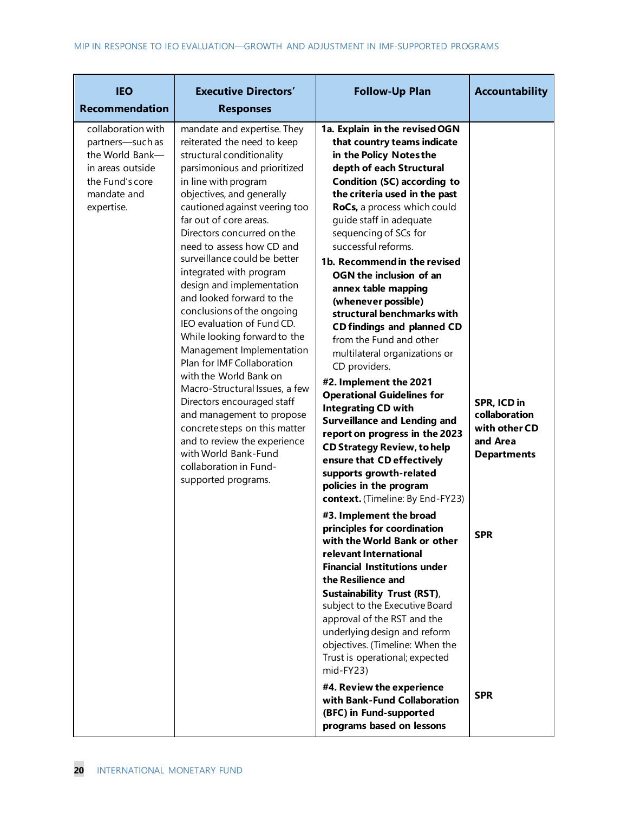| <b>IEO</b><br><b>Recommendation</b>                                                                                           | <b>Executive Directors'</b><br><b>Responses</b>                                                                                                                                                                                                                                                                                                                                                                                                                                                                                                                                                                                                                                                                                                                                                                                                 | <b>Follow-Up Plan</b>                                                                                                                                                                                                                                                                                                                                                                                                                                                                                                                                                                                                                                                                                                                                                                                                                                                                                                                                                                                                                                                                                                                                                                                                                                                                                                                                                                                                      | <b>Accountability</b>                                                                                |
|-------------------------------------------------------------------------------------------------------------------------------|-------------------------------------------------------------------------------------------------------------------------------------------------------------------------------------------------------------------------------------------------------------------------------------------------------------------------------------------------------------------------------------------------------------------------------------------------------------------------------------------------------------------------------------------------------------------------------------------------------------------------------------------------------------------------------------------------------------------------------------------------------------------------------------------------------------------------------------------------|----------------------------------------------------------------------------------------------------------------------------------------------------------------------------------------------------------------------------------------------------------------------------------------------------------------------------------------------------------------------------------------------------------------------------------------------------------------------------------------------------------------------------------------------------------------------------------------------------------------------------------------------------------------------------------------------------------------------------------------------------------------------------------------------------------------------------------------------------------------------------------------------------------------------------------------------------------------------------------------------------------------------------------------------------------------------------------------------------------------------------------------------------------------------------------------------------------------------------------------------------------------------------------------------------------------------------------------------------------------------------------------------------------------------------|------------------------------------------------------------------------------------------------------|
| collaboration with<br>partners-such as<br>the World Bank-<br>in areas outside<br>the Fund's core<br>mandate and<br>expertise. | mandate and expertise. They<br>reiterated the need to keep<br>structural conditionality<br>parsimonious and prioritized<br>in line with program<br>objectives, and generally<br>cautioned against veering too<br>far out of core areas.<br>Directors concurred on the<br>need to assess how CD and<br>surveillance could be better<br>integrated with program<br>design and implementation<br>and looked forward to the<br>conclusions of the ongoing<br>IEO evaluation of Fund CD.<br>While looking forward to the<br>Management Implementation<br>Plan for IMF Collaboration<br>with the World Bank on<br>Macro-Structural Issues, a few<br>Directors encouraged staff<br>and management to propose<br>concrete steps on this matter<br>and to review the experience<br>with World Bank-Fund<br>collaboration in Fund-<br>supported programs. | 1a. Explain in the revised OGN<br>that country teams indicate<br>in the Policy Notes the<br>depth of each Structural<br>Condition (SC) according to<br>the criteria used in the past<br>RoCs, a process which could<br>guide staff in adequate<br>sequencing of SCs for<br>successful reforms.<br>1b. Recommend in the revised<br>OGN the inclusion of an<br>annex table mapping<br>(whenever possible)<br>structural benchmarks with<br><b>CD findings and planned CD</b><br>from the Fund and other<br>multilateral organizations or<br>CD providers.<br>#2. Implement the 2021<br><b>Operational Guidelines for</b><br><b>Integrating CD with</b><br><b>Surveillance and Lending and</b><br>report on progress in the 2023<br><b>CD Strategy Review, to help</b><br>ensure that CD effectively<br>supports growth-related<br>policies in the program<br>context. (Timeline: By End-FY23)<br>#3. Implement the broad<br>principles for coordination<br>with the World Bank or other<br>relevant International<br><b>Financial Institutions under</b><br>the Resilience and<br><b>Sustainability Trust (RST),</b><br>subject to the Executive Board<br>approval of the RST and the<br>underlying design and reform<br>objectives. (Timeline: When the<br>Trust is operational; expected<br>mid-FY23)<br>#4. Review the experience<br>with Bank-Fund Collaboration<br>(BFC) in Fund-supported<br>programs based on lessons | SPR, ICD in<br>collaboration<br>with other CD<br>and Area<br><b>Departments</b><br>SPR<br><b>SPR</b> |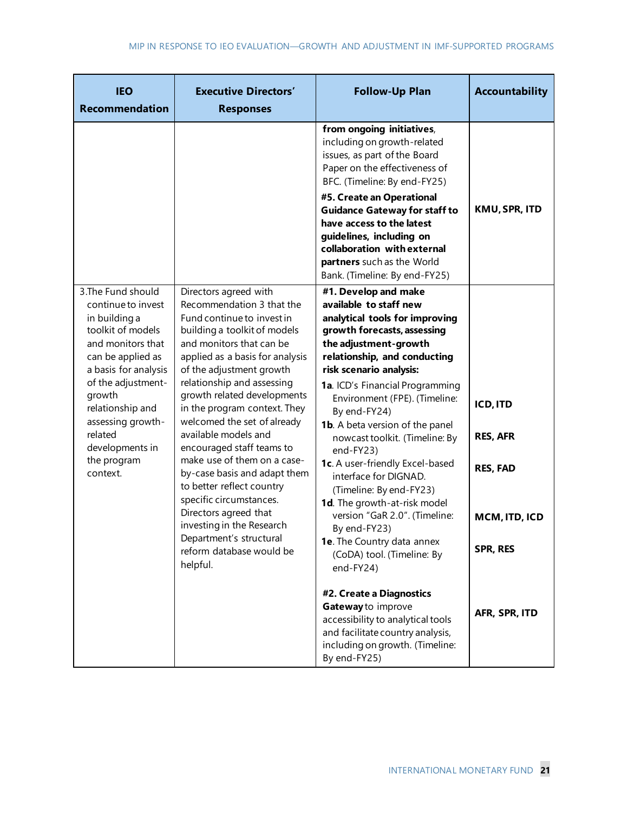| <b>IEO</b><br><b>Recommendation</b>                                                                                                                                                                                                                                                | <b>Executive Directors'</b><br><b>Responses</b>                                                                                                                                                                                                                                                                                                                                                                                                                                                                                                                                                                                              | <b>Follow-Up Plan</b>                                                                                                                                                                                                                                                                                                                                                                                                                                                                                                                                                                                                             | Accountability                                                                            |
|------------------------------------------------------------------------------------------------------------------------------------------------------------------------------------------------------------------------------------------------------------------------------------|----------------------------------------------------------------------------------------------------------------------------------------------------------------------------------------------------------------------------------------------------------------------------------------------------------------------------------------------------------------------------------------------------------------------------------------------------------------------------------------------------------------------------------------------------------------------------------------------------------------------------------------------|-----------------------------------------------------------------------------------------------------------------------------------------------------------------------------------------------------------------------------------------------------------------------------------------------------------------------------------------------------------------------------------------------------------------------------------------------------------------------------------------------------------------------------------------------------------------------------------------------------------------------------------|-------------------------------------------------------------------------------------------|
|                                                                                                                                                                                                                                                                                    |                                                                                                                                                                                                                                                                                                                                                                                                                                                                                                                                                                                                                                              | from ongoing initiatives,<br>including on growth-related<br>issues, as part of the Board<br>Paper on the effectiveness of<br>BFC. (Timeline: By end-FY25)<br>#5. Create an Operational<br><b>Guidance Gateway for staff to</b><br>have access to the latest<br>guidelines, including on                                                                                                                                                                                                                                                                                                                                           | KMU, SPR, ITD                                                                             |
|                                                                                                                                                                                                                                                                                    |                                                                                                                                                                                                                                                                                                                                                                                                                                                                                                                                                                                                                                              | collaboration with external<br>partners such as the World<br>Bank. (Timeline: By end-FY25)                                                                                                                                                                                                                                                                                                                                                                                                                                                                                                                                        |                                                                                           |
| 3. The Fund should<br>continue to invest<br>in building a<br>toolkit of models<br>and monitors that<br>can be applied as<br>a basis for analysis<br>of the adjustment-<br>growth<br>relationship and<br>assessing growth-<br>related<br>developments in<br>the program<br>context. | Directors agreed with<br>Recommendation 3 that the<br>Fund continue to invest in<br>building a toolkit of models<br>and monitors that can be<br>applied as a basis for analysis<br>of the adjustment growth<br>relationship and assessing<br>growth related developments<br>in the program context. They<br>welcomed the set of already<br>available models and<br>encouraged staff teams to<br>make use of them on a case-<br>by-case basis and adapt them<br>to better reflect country<br>specific circumstances.<br>Directors agreed that<br>investing in the Research<br>Department's structural<br>reform database would be<br>helpful. | #1. Develop and make<br>available to staff new<br>analytical tools for improving<br>growth forecasts, assessing<br>the adjustment-growth<br>relationship, and conducting<br>risk scenario analysis:<br>1a. ICD's Financial Programming<br>Environment (FPE). (Timeline:<br>By end-FY24)<br><b>1b.</b> A beta version of the panel<br>nowcast toolkit. (Timeline: By<br>end-FY23)<br>1c. A user-friendly Excel-based<br>interface for DIGNAD.<br>(Timeline: By end-FY23)<br>1d. The growth-at-risk model<br>version "GaR 2.0". (Timeline:<br>By end-FY23)<br>1e. The Country data annex<br>(CoDA) tool. (Timeline: By<br>end-FY24) | <b>ICD, ITD</b><br><b>RES, AFR</b><br><b>RES, FAD</b><br>MCM, ITD, ICD<br><b>SPR, RES</b> |
|                                                                                                                                                                                                                                                                                    |                                                                                                                                                                                                                                                                                                                                                                                                                                                                                                                                                                                                                                              | #2. Create a Diagnostics<br>Gateway to improve<br>accessibility to analytical tools<br>and facilitate country analysis,<br>including on growth. (Timeline:<br>By end-FY25)                                                                                                                                                                                                                                                                                                                                                                                                                                                        | AFR, SPR, ITD                                                                             |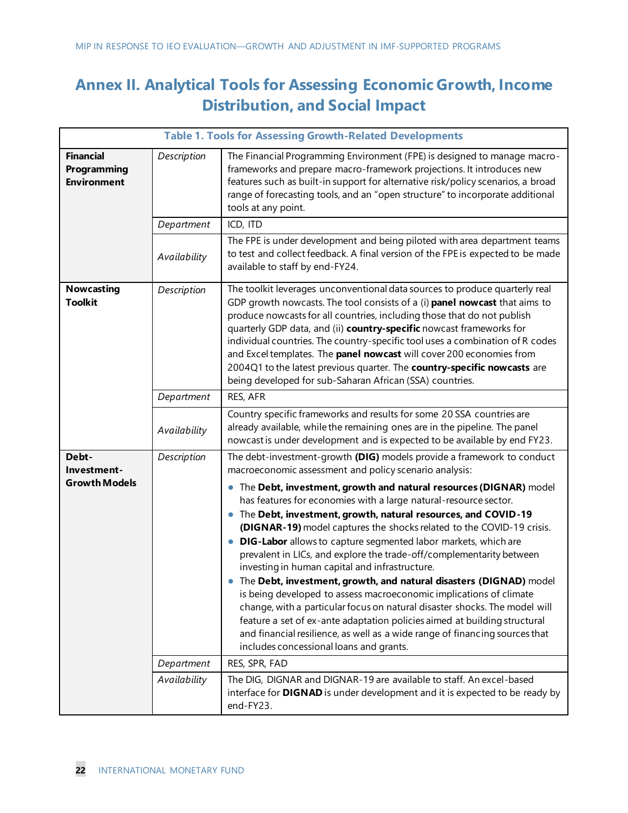## **Annex II. Analytical Tools for Assessing Economic Growth, Income Distribution, and Social Impact**

|                                                       | <b>Table 1. Tools for Assessing Growth-Related Developments</b> |                                                                                                                                                                                                                                                                                                                                                                                                                                                                                                                                                                                                                                                                                                                                                                                                                                                                                                                                                                                                                                                                                             |  |
|-------------------------------------------------------|-----------------------------------------------------------------|---------------------------------------------------------------------------------------------------------------------------------------------------------------------------------------------------------------------------------------------------------------------------------------------------------------------------------------------------------------------------------------------------------------------------------------------------------------------------------------------------------------------------------------------------------------------------------------------------------------------------------------------------------------------------------------------------------------------------------------------------------------------------------------------------------------------------------------------------------------------------------------------------------------------------------------------------------------------------------------------------------------------------------------------------------------------------------------------|--|
| <b>Financial</b><br>Programming<br><b>Environment</b> | Description                                                     | The Financial Programming Environment (FPE) is designed to manage macro-<br>frameworks and prepare macro-framework projections. It introduces new<br>features such as built-in support for alternative risk/policy scenarios, a broad<br>range of forecasting tools, and an "open structure" to incorporate additional<br>tools at any point.                                                                                                                                                                                                                                                                                                                                                                                                                                                                                                                                                                                                                                                                                                                                               |  |
|                                                       | Department                                                      | ICD, ITD                                                                                                                                                                                                                                                                                                                                                                                                                                                                                                                                                                                                                                                                                                                                                                                                                                                                                                                                                                                                                                                                                    |  |
|                                                       | Availability                                                    | The FPE is under development and being piloted with area department teams<br>to test and collect feedback. A final version of the FPE is expected to be made<br>available to staff by end-FY24.                                                                                                                                                                                                                                                                                                                                                                                                                                                                                                                                                                                                                                                                                                                                                                                                                                                                                             |  |
| <b>Nowcasting</b><br><b>Toolkit</b>                   | Description                                                     | The toolkit leverages unconventional data sources to produce quarterly real<br>GDP growth nowcasts. The tool consists of a (i) panel nowcast that aims to<br>produce nowcasts for all countries, including those that do not publish<br>quarterly GDP data, and (ii) country-specific nowcast frameworks for<br>individual countries. The country-specific tool uses a combination of R codes<br>and Excel templates. The panel nowcast will cover 200 economies from<br>2004Q1 to the latest previous quarter. The country-specific nowcasts are<br>being developed for sub-Saharan African (SSA) countries.                                                                                                                                                                                                                                                                                                                                                                                                                                                                               |  |
|                                                       | Department                                                      | RES, AFR                                                                                                                                                                                                                                                                                                                                                                                                                                                                                                                                                                                                                                                                                                                                                                                                                                                                                                                                                                                                                                                                                    |  |
|                                                       | Availability                                                    | Country specific frameworks and results for some 20 SSA countries are<br>already available, while the remaining ones are in the pipeline. The panel<br>nowcast is under development and is expected to be available by end FY23.                                                                                                                                                                                                                                                                                                                                                                                                                                                                                                                                                                                                                                                                                                                                                                                                                                                            |  |
| Debt-<br>Investment-<br><b>Growth Models</b>          | Description<br>Department                                       | The debt-investment-growth (DIG) models provide a framework to conduct<br>macroeconomic assessment and policy scenario analysis:<br>The Debt, investment, growth and natural resources (DIGNAR) model<br>$\bullet$<br>has features for economies with a large natural-resource sector.<br>The Debt, investment, growth, natural resources, and COVID-19<br>(DIGNAR-19) model captures the shocks related to the COVID-19 crisis.<br>DIG-Labor allows to capture segmented labor markets, which are<br>$\bullet$<br>prevalent in LICs, and explore the trade-off/complementarity between<br>investing in human capital and infrastructure.<br>The Debt, investment, growth, and natural disasters (DIGNAD) model<br>is being developed to assess macroeconomic implications of climate<br>change, with a particular focus on natural disaster shocks. The model will<br>feature a set of ex-ante adaptation policies aimed at building structural<br>and financial resilience, as well as a wide range of financing sources that<br>includes concessional loans and grants.<br>RES, SPR, FAD |  |
|                                                       | Availability                                                    | The DIG, DIGNAR and DIGNAR-19 are available to staff. An excel-based<br>interface for DIGNAD is under development and it is expected to be ready by<br>end-FY23.                                                                                                                                                                                                                                                                                                                                                                                                                                                                                                                                                                                                                                                                                                                                                                                                                                                                                                                            |  |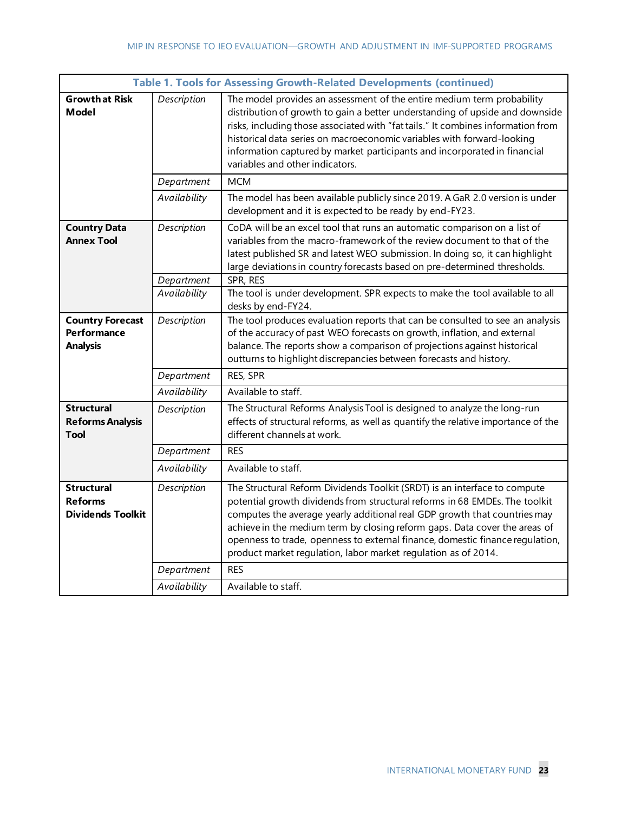|                                                                 | <b>Table 1. Tools for Assessing Growth-Related Developments (continued)</b> |                                                                                                                                                                                                                                                                                                                                                                                                                                                                        |  |
|-----------------------------------------------------------------|-----------------------------------------------------------------------------|------------------------------------------------------------------------------------------------------------------------------------------------------------------------------------------------------------------------------------------------------------------------------------------------------------------------------------------------------------------------------------------------------------------------------------------------------------------------|--|
| <b>Growth at Risk</b><br>Model                                  | Description                                                                 | The model provides an assessment of the entire medium term probability<br>distribution of growth to gain a better understanding of upside and downside<br>risks, including those associated with "fat tails." It combines information from<br>historical data series on macroeconomic variables with forward-looking<br>information captured by market participants and incorporated in financial<br>variables and other indicators.                                   |  |
|                                                                 | Department                                                                  | <b>MCM</b>                                                                                                                                                                                                                                                                                                                                                                                                                                                             |  |
|                                                                 | Availability                                                                | The model has been available publicly since 2019. A GaR 2.0 version is under<br>development and it is expected to be ready by end-FY23.                                                                                                                                                                                                                                                                                                                                |  |
| <b>Country Data</b><br><b>Annex Tool</b>                        | Description                                                                 | CoDA will be an excel tool that runs an automatic comparison on a list of<br>variables from the macro-framework of the review document to that of the<br>latest published SR and latest WEO submission. In doing so, it can highlight<br>large deviations in country forecasts based on pre-determined thresholds.                                                                                                                                                     |  |
|                                                                 | Department                                                                  | SPR, RES                                                                                                                                                                                                                                                                                                                                                                                                                                                               |  |
|                                                                 | Availability                                                                | The tool is under development. SPR expects to make the tool available to all<br>desks by end-FY24.                                                                                                                                                                                                                                                                                                                                                                     |  |
| <b>Country Forecast</b><br>Performance<br><b>Analysis</b>       | Description                                                                 | The tool produces evaluation reports that can be consulted to see an analysis<br>of the accuracy of past WEO forecasts on growth, inflation, and external<br>balance. The reports show a comparison of projections against historical<br>outturns to highlight discrepancies between forecasts and history.                                                                                                                                                            |  |
|                                                                 | Department                                                                  | RES, SPR                                                                                                                                                                                                                                                                                                                                                                                                                                                               |  |
|                                                                 | Availability                                                                | Available to staff.                                                                                                                                                                                                                                                                                                                                                                                                                                                    |  |
| <b>Structural</b><br><b>Reforms Analysis</b><br>Tool            | Description                                                                 | The Structural Reforms Analysis Tool is designed to analyze the long-run<br>effects of structural reforms, as well as quantify the relative importance of the<br>different channels at work.                                                                                                                                                                                                                                                                           |  |
|                                                                 | Department                                                                  | <b>RES</b>                                                                                                                                                                                                                                                                                                                                                                                                                                                             |  |
|                                                                 | Availability                                                                | Available to staff.                                                                                                                                                                                                                                                                                                                                                                                                                                                    |  |
| <b>Structural</b><br><b>Reforms</b><br><b>Dividends Toolkit</b> | Description                                                                 | The Structural Reform Dividends Toolkit (SRDT) is an interface to compute<br>potential growth dividends from structural reforms in 68 EMDEs. The toolkit<br>computes the average yearly additional real GDP growth that countries may<br>achieve in the medium term by closing reform gaps. Data cover the areas of<br>openness to trade, openness to external finance, domestic finance regulation,<br>product market regulation, labor market regulation as of 2014. |  |
|                                                                 | Department                                                                  | <b>RES</b>                                                                                                                                                                                                                                                                                                                                                                                                                                                             |  |
|                                                                 | Availability                                                                | Available to staff.                                                                                                                                                                                                                                                                                                                                                                                                                                                    |  |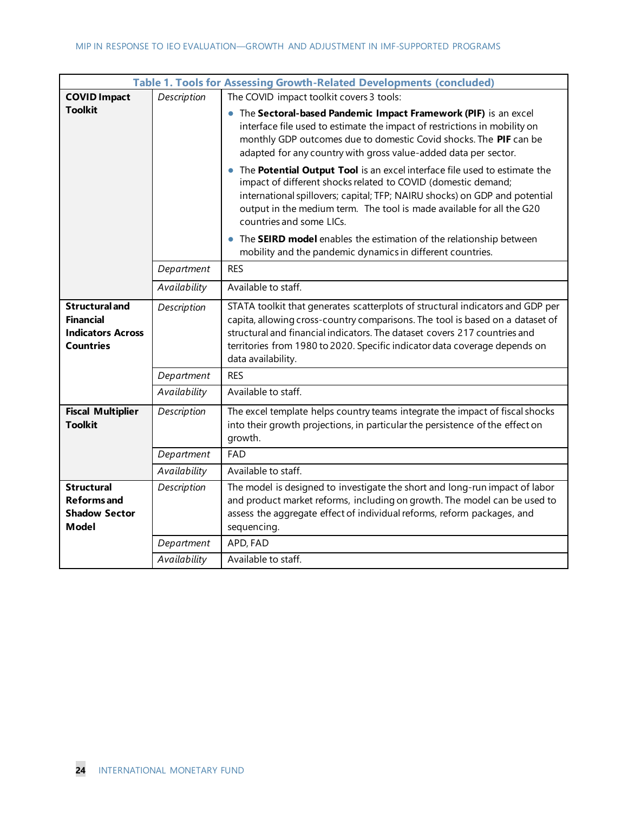| Table 1. Tools for Assessing Growth-Related Developments (concluded)                      |              |                                                                                                                                                                                                                                                                                                                                                  |
|-------------------------------------------------------------------------------------------|--------------|--------------------------------------------------------------------------------------------------------------------------------------------------------------------------------------------------------------------------------------------------------------------------------------------------------------------------------------------------|
| <b>COVID Impact</b>                                                                       | Description  | The COVID impact toolkit covers 3 tools:                                                                                                                                                                                                                                                                                                         |
| <b>Toolkit</b>                                                                            |              | • The Sectoral-based Pandemic Impact Framework (PIF) is an excel<br>interface file used to estimate the impact of restrictions in mobility on<br>monthly GDP outcomes due to domestic Covid shocks. The PIF can be<br>adapted for any country with gross value-added data per sector.                                                            |
|                                                                                           |              | • The Potential Output Tool is an excel interface file used to estimate the<br>impact of different shocks related to COVID (domestic demand;<br>international spillovers; capital; TFP; NAIRU shocks) on GDP and potential<br>output in the medium term. The tool is made available for all the G20<br>countries and some LICs.                  |
|                                                                                           |              | The SEIRD model enables the estimation of the relationship between<br>mobility and the pandemic dynamics in different countries.                                                                                                                                                                                                                 |
|                                                                                           | Department   | <b>RES</b>                                                                                                                                                                                                                                                                                                                                       |
|                                                                                           | Availability | Available to staff.                                                                                                                                                                                                                                                                                                                              |
| <b>Structural and</b><br><b>Financial</b><br><b>Indicators Across</b><br><b>Countries</b> | Description  | STATA toolkit that generates scatterplots of structural indicators and GDP per<br>capita, allowing cross-country comparisons. The tool is based on a dataset of<br>structural and financial indicators. The dataset covers 217 countries and<br>territories from 1980 to 2020. Specific indicator data coverage depends on<br>data availability. |
|                                                                                           | Department   | <b>RES</b>                                                                                                                                                                                                                                                                                                                                       |
|                                                                                           | Availability | Available to staff.                                                                                                                                                                                                                                                                                                                              |
| <b>Fiscal Multiplier</b><br><b>Toolkit</b>                                                | Description  | The excel template helps country teams integrate the impact of fiscal shocks<br>into their growth projections, in particular the persistence of the effect on<br>growth.                                                                                                                                                                         |
|                                                                                           | Department   | <b>FAD</b>                                                                                                                                                                                                                                                                                                                                       |
|                                                                                           | Availability | Available to staff.                                                                                                                                                                                                                                                                                                                              |
| <b>Structural</b><br><b>Reforms</b> and<br><b>Shadow Sector</b><br><b>Model</b>           | Description  | The model is designed to investigate the short and long-run impact of labor<br>and product market reforms, including on growth. The model can be used to<br>assess the aggregate effect of individual reforms, reform packages, and<br>sequencing.                                                                                               |
|                                                                                           | Department   | APD, FAD                                                                                                                                                                                                                                                                                                                                         |
|                                                                                           | Availability | Available to staff.                                                                                                                                                                                                                                                                                                                              |